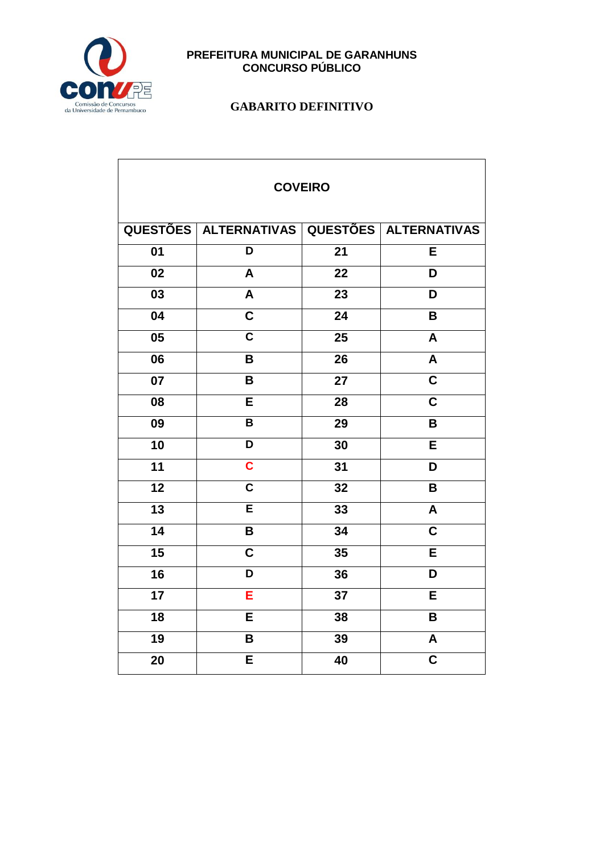

| <b>COVEIRO</b>  |                                             |                 |                         |  |
|-----------------|---------------------------------------------|-----------------|-------------------------|--|
|                 | QUESTÕES ALTERNATIVAS QUESTÕES ALTERNATIVAS |                 |                         |  |
| 01              | D                                           | 21              | E                       |  |
| 02              | A                                           | 22              | D                       |  |
| 03              | A                                           | 23              | D                       |  |
| 04              | $\overline{\mathsf{c}}$                     | 24              | B                       |  |
| 05              | $\overline{\mathsf{c}}$                     | 25              | A                       |  |
| 06              | B                                           | 26              | A                       |  |
| $\overline{07}$ | B                                           | $\overline{27}$ | $\overline{\mathsf{c}}$ |  |
| 08              | E                                           | 28              | C                       |  |
| 09              | B                                           | 29              | B                       |  |
| 10              | D                                           | 30              | E                       |  |
| 11              | $\overline{\mathbf{c}}$                     | 31              | D                       |  |
| $\overline{12}$ | $\overline{\mathsf{c}}$                     | $\overline{32}$ | B                       |  |
| 13              | $\overline{\mathsf{E}}$                     | 33              | A                       |  |
| $\overline{14}$ | B                                           | $\overline{34}$ | $\overline{\mathsf{c}}$ |  |
| 15              | $\overline{\mathbf{c}}$                     | 35              | E                       |  |
| 16              | D                                           | 36              | D                       |  |
| 17              | E                                           | 37              | E                       |  |
| 18              | E                                           | 38              | B                       |  |
| $\overline{19}$ | B                                           | 39              | A                       |  |
| 20              | E                                           | 40              | C                       |  |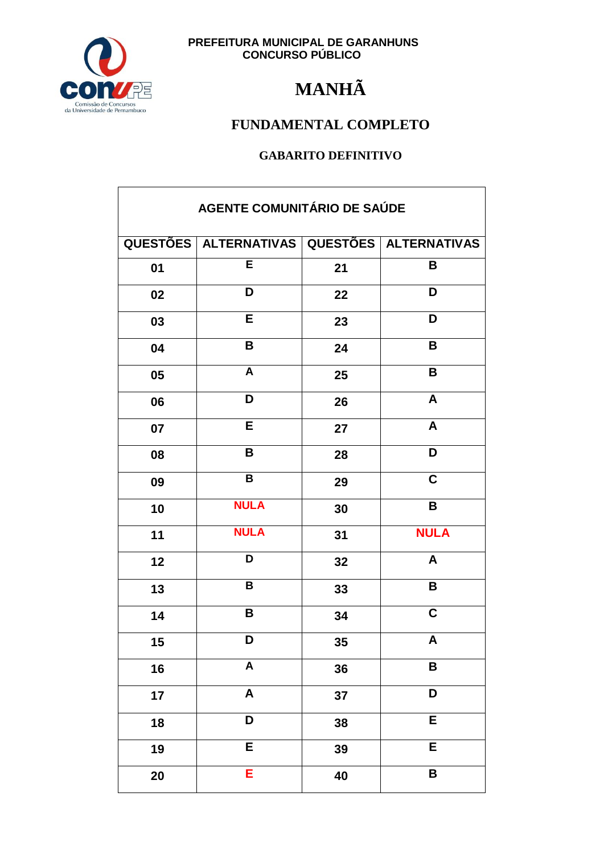

## **MANHÃ**

### FUNDAMENTAL COMPLETO

| AGENTE COMUNITÁRIO DE SAÚDE |                           |    |                              |
|-----------------------------|---------------------------|----|------------------------------|
|                             | QUESTÕES   ALTERNATIVAS   |    | <b>QUESTÕES ALTERNATIVAS</b> |
| 01                          | E                         | 21 | B                            |
| 02                          | D                         | 22 | D                            |
| 03                          | E                         | 23 | D                            |
| 04                          | B                         | 24 | B                            |
| 05                          | $\boldsymbol{A}$          | 25 | B                            |
| 06                          | D                         | 26 | A                            |
| 07                          | E                         | 27 | $\boldsymbol{A}$             |
| 08                          | B                         | 28 | D                            |
| 09                          | B                         | 29 | $\overline{\mathbf{c}}$      |
| 10                          | <b>NULA</b>               | 30 | B                            |
| 11                          | <b>NULA</b>               | 31 | <b>NULA</b>                  |
| 12                          | D                         | 32 | A                            |
| 13                          | $\overline{\mathbf{B}}$   | 33 | $\overline{\mathbf{B}}$      |
| 14                          | B                         | 34 | $\overline{\mathbf{C}}$      |
| $15\,$                      | D                         | 35 | A                            |
| 16                          | $\boldsymbol{\mathsf{A}}$ | 36 | B                            |
| 17                          | $\boldsymbol{\mathsf{A}}$ | 37 | D                            |
| 18                          | D                         | 38 | $\overline{E}$               |
| 19                          | E                         | 39 | E                            |
| 20                          | Е                         | 40 | B                            |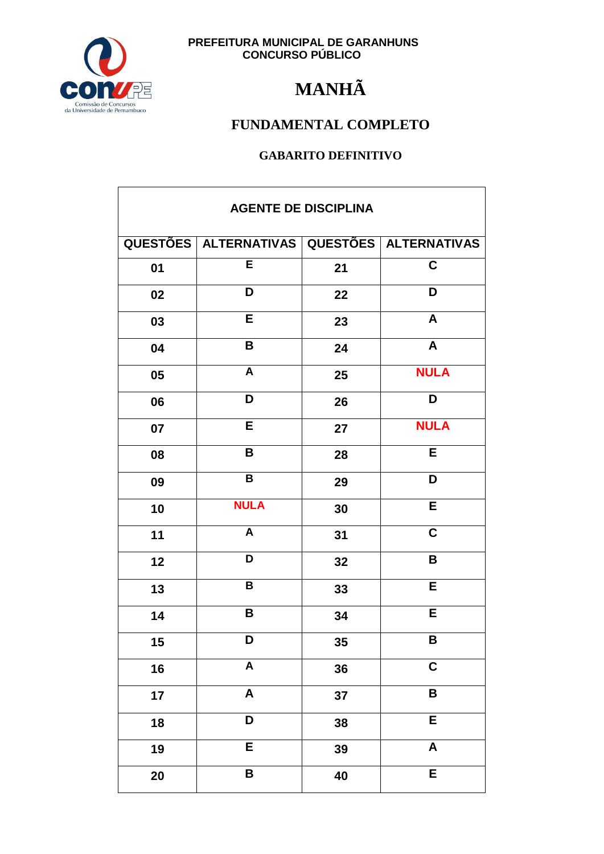

## **MANHÃ**

### FUNDAMENTAL COMPLETO

| <b>AGENTE DE DISCIPLINA</b> |                         |    |                         |
|-----------------------------|-------------------------|----|-------------------------|
|                             | QUESTÕES   ALTERNATIVAS |    | QUESTÕES   ALTERNATIVAS |
| 01                          | E                       | 21 | $\mathbf C$             |
| 02                          | D                       | 22 | D                       |
| 03                          | E                       | 23 | $\boldsymbol{A}$        |
| 04                          | B                       | 24 | $\mathbf{A}$            |
| 05                          | $\overline{A}$          | 25 | <b>NULA</b>             |
| 06                          | D                       | 26 | D                       |
| 07                          | E                       | 27 | <b>NULA</b>             |
| 08                          | B                       | 28 | E                       |
| 09                          | $\, {\bf B}$            | 29 | D                       |
| 10                          | <b>NULA</b>             | 30 | $\overline{E}$          |
| 11                          | $\overline{\mathsf{A}}$ | 31 | $\mathbf C$             |
| 12                          | D                       | 32 | B                       |
| 13                          | $\mathbf B$             | 33 | E                       |
| 14                          | B                       | 34 | E                       |
| $15\,$                      | D                       | 35 | B                       |
| 16                          | $\overline{\mathsf{A}}$ | 36 | $\overline{\mathbf{C}}$ |
| 17                          | $\overline{\mathsf{A}}$ | 37 | $\pmb{\mathsf{B}}$      |
| 18                          | D                       | 38 | $\overline{E}$          |
| 19                          | $\overline{E}$          | 39 | $\pmb{\mathsf{A}}$      |
| 20                          | $\pmb{\mathsf{B}}$      | 40 | E                       |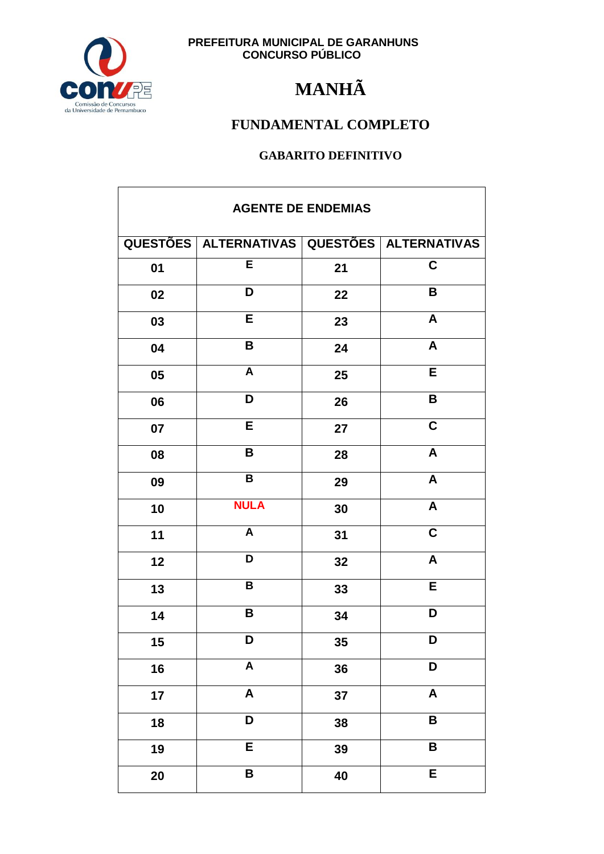

## **MANHÃ**

### FUNDAMENTAL COMPLETO

| <b>AGENTE DE ENDEMIAS</b> |                                             |    |                           |
|---------------------------|---------------------------------------------|----|---------------------------|
|                           | QUESTÕES ALTERNATIVAS QUESTÕES ALTERNATIVAS |    |                           |
| 01                        | $\overline{\mathsf{E}}$                     | 21 | $\overline{\mathbf{C}}$   |
| 02                        | D                                           | 22 | B                         |
| 03                        | E                                           | 23 | A                         |
| 04                        | $\pmb{\mathsf{B}}$                          | 24 | $\boldsymbol{A}$          |
| 05                        | $\overline{\mathsf{A}}$                     | 25 | E                         |
| 06                        | D                                           | 26 | B                         |
| 07                        | E                                           | 27 | $\mathbf C$               |
| 08                        | B                                           | 28 | A                         |
| 09                        | $\, {\bf B}$                                | 29 | $\boldsymbol{A}$          |
| 10                        | <b>NULA</b>                                 | 30 | $\overline{A}$            |
| 11                        | $\mathsf{A}$                                | 31 | $\overline{\mathbf{C}}$   |
| 12                        | D                                           | 32 | A                         |
| 13                        | $\overline{\mathsf{B}}$                     | 33 | E                         |
| 14                        | B                                           | 34 | D                         |
| 15                        | D.                                          | 35 | D                         |
| 16                        | $\overline{\mathsf{A}}$                     | 36 | D                         |
| 17                        | $\overline{\mathsf{A}}$                     | 37 | $\boldsymbol{\mathsf{A}}$ |
| 18                        | D                                           | 38 | B                         |
| 19                        | E                                           | 39 | B                         |
| 20                        | B                                           | 40 | E                         |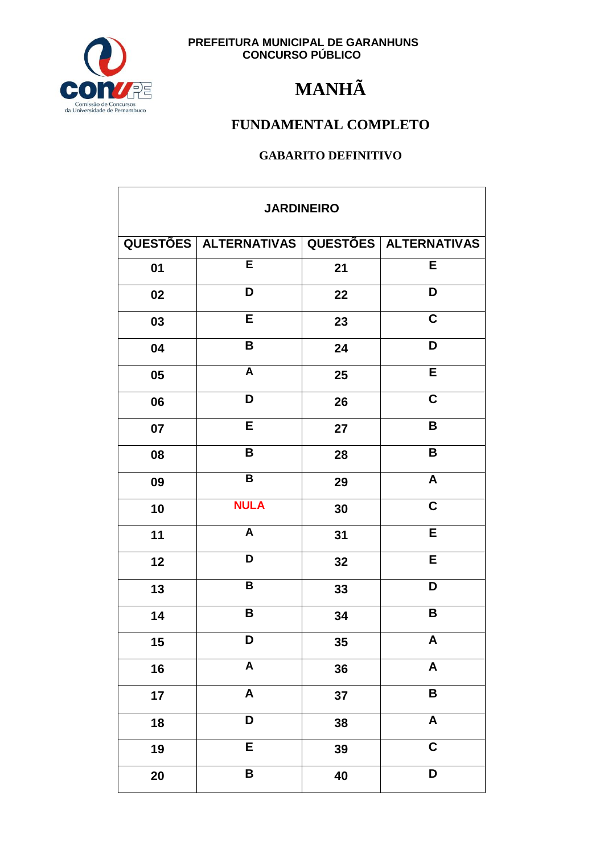

## **MANHÃ**

### FUNDAMENTAL COMPLETO

| <b>JARDINEIRO</b> |                                             |    |                           |
|-------------------|---------------------------------------------|----|---------------------------|
|                   | QUESTÕES ALTERNATIVAS QUESTÕES ALTERNATIVAS |    |                           |
| 01                | E                                           | 21 | E                         |
| 02                | D                                           | 22 | D                         |
| 03                | E                                           | 23 | $\overline{\mathbf{C}}$   |
| 04                | $\pmb{\mathsf{B}}$                          | 24 | D                         |
| 05                | $\boldsymbol{\mathsf{A}}$                   | 25 | E                         |
| 06                | D                                           | 26 | $\mathbf C$               |
| 07                | E                                           | 27 | B                         |
| 08                | B                                           | 28 | $\overline{\mathbf{B}}$   |
| 09                | $\overline{\mathsf{B}}$                     | 29 | $\boldsymbol{\mathsf{A}}$ |
| 10                | <b>NULA</b>                                 | 30 | $\mathbf C$               |
| 11                | $\mathsf{A}$                                | 31 | E                         |
| 12                | D                                           | 32 | E                         |
| 13                | $\overline{\mathbf{B}}$                     | 33 | D                         |
| 14                | B                                           | 34 | $\overline{\mathbf{B}}$   |
| $15\,$            | D                                           | 35 | A                         |
| 16                | $\overline{A}$                              | 36 | $\pmb{\mathsf{A}}$        |
| 17                | $\overline{\mathsf{A}}$                     | 37 | $\overline{\mathbf{B}}$   |
| 18                | $\overline{\mathsf{D}}$                     | 38 | $\overline{A}$            |
| 19                | E                                           | 39 | $\overline{\mathbf{C}}$   |
| 20                | B                                           | 40 | D                         |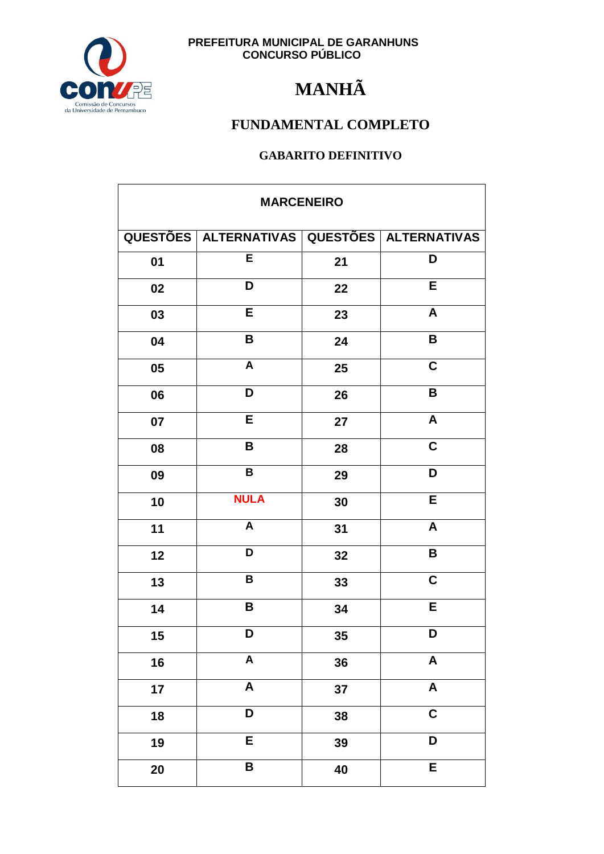

## **MANHÃ**

### FUNDAMENTAL COMPLETO

| <b>MARCENEIRO</b> |                                                   |    |                           |
|-------------------|---------------------------------------------------|----|---------------------------|
|                   | QUESTÕES   ALTERNATIVAS   QUESTÕES   ALTERNATIVAS |    |                           |
| 01                | E                                                 | 21 | D                         |
| 02                | D                                                 | 22 | E                         |
| 03                | E                                                 | 23 | $\boldsymbol{\mathsf{A}}$ |
| 04                | B                                                 | 24 | B                         |
| 05                | $\boldsymbol{A}$                                  | 25 | $\overline{\mathbf{C}}$   |
| 06                | D                                                 | 26 | $\mathbf B$               |
| 07                | E                                                 | 27 | $\boldsymbol{\mathsf{A}}$ |
| 08                | B                                                 | 28 | $\mathbf C$               |
| 09                | $\, {\bf B}$                                      | 29 | D                         |
| 10                | <b>NULA</b>                                       | 30 | E                         |
| 11                | $\overline{A}$                                    | 31 | $\boldsymbol{\mathsf{A}}$ |
| 12                | D                                                 | 32 | B                         |
| 13                | B                                                 | 33 | $\mathbf C$               |
| 14                | $\mathbf B$                                       | 34 | E                         |
| 15                | D                                                 | 35 | D                         |
| 16                | $\overline{\mathsf{A}}$                           | 36 | $\pmb{\mathsf{A}}$        |
| 17                | $\boldsymbol{\mathsf{A}}$                         | 37 | $\pmb{\mathsf{A}}$        |
| 18                | D                                                 | 38 | $\overline{\mathbf{C}}$   |
| 19                | E                                                 | 39 | D                         |
| 20                | $\overline{\mathbf{B}}$                           | 40 | $\overline{E}$            |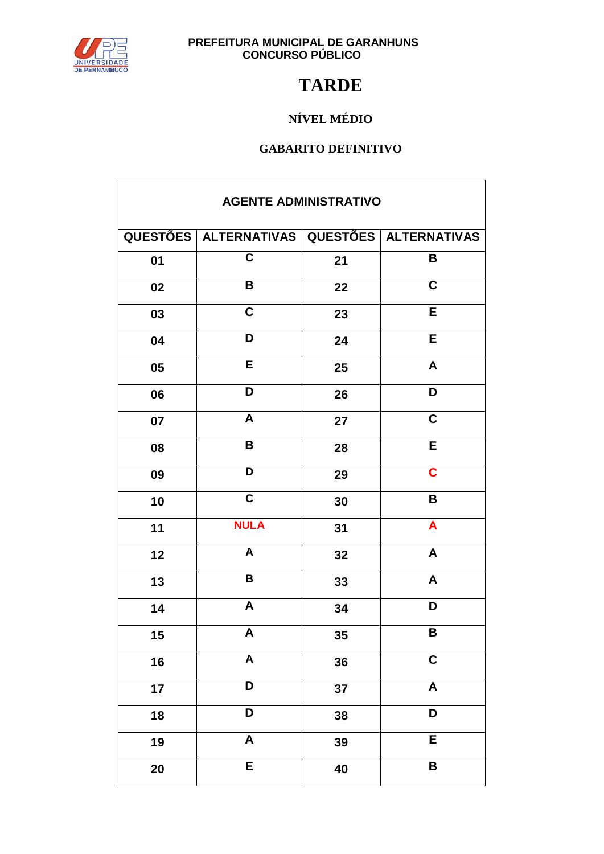

## **TARDE**

### NÍVEL MÉDIO

| <b>AGENTE ADMINISTRATIVO</b> |                                             |    |                           |  |
|------------------------------|---------------------------------------------|----|---------------------------|--|
|                              | QUESTÕES ALTERNATIVAS QUESTÕES ALTERNATIVAS |    |                           |  |
| 01                           | $\overline{\mathsf{c}}$                     | 21 | B                         |  |
| 02                           | B                                           | 22 | $\mathbf C$               |  |
| 03                           | C                                           | 23 | E                         |  |
| 04                           | D                                           | 24 | E                         |  |
| 05                           | Ē                                           | 25 | $\overline{\mathbf{A}}$   |  |
| 06                           | D                                           | 26 | D                         |  |
| 07                           | A                                           | 27 | $\overline{\mathbf{C}}$   |  |
| 08                           | B                                           | 28 | E                         |  |
| 09                           | D                                           | 29 | $\mathbf C$               |  |
| 10                           | $\overline{\mathsf{c}}$                     | 30 | B                         |  |
| 11                           | <b>NULA</b>                                 | 31 | $\mathbf{A}$              |  |
| 12                           | A                                           | 32 | A                         |  |
| 13                           | $\pmb{\mathsf{B}}$                          | 33 | $\boldsymbol{A}$          |  |
| 14                           | $\boldsymbol{\mathsf{A}}$                   | 34 | D                         |  |
| 15                           | A                                           | 35 | B                         |  |
| 16                           | $\overline{\mathsf{A}}$                     | 36 | $\mathbf C$               |  |
| 17                           | D                                           | 37 | $\boldsymbol{\mathsf{A}}$ |  |
| 18                           | D                                           | 38 | D                         |  |
| 19                           | $\boldsymbol{\mathsf{A}}$                   | 39 | E                         |  |
| 20                           | E                                           | 40 | B                         |  |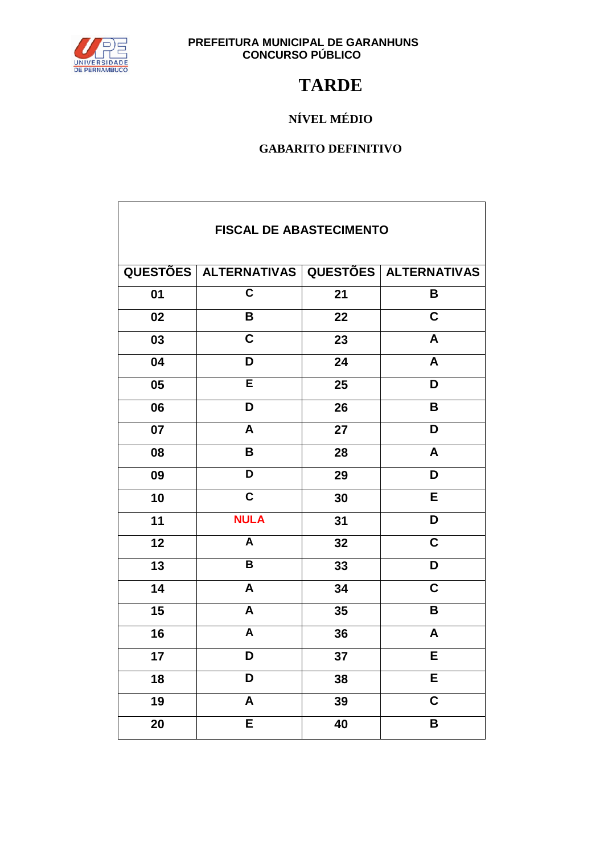

 $\mathsf{r}$ 

# **PREFEITURA MUNICIPAL DE GARANHUNS<br>CONCURSO PÚBLICO**

### **TARDE**

### NÍVEL MÉDIO

| <b>FISCAL DE ABASTECIMENTO</b> |                                             |    |                         |  |
|--------------------------------|---------------------------------------------|----|-------------------------|--|
|                                | QUESTÕES ALTERNATIVAS QUESTÕES ALTERNATIVAS |    |                         |  |
| 01                             | $\overline{\mathsf{c}}$                     | 21 | B                       |  |
| 02                             | B                                           | 22 | $\overline{\mathsf{c}}$ |  |
| 03                             | $\overline{\mathbf{c}}$                     | 23 | A                       |  |
| 04                             | D                                           | 24 | A                       |  |
| 05                             | E                                           | 25 | D                       |  |
| 06                             | D                                           | 26 | B                       |  |
| 07                             | A                                           | 27 | D                       |  |
| 08                             | B                                           | 28 | A                       |  |
| 09                             | D                                           | 29 | D                       |  |
| 10                             | $\overline{\mathsf{c}}$                     | 30 | E                       |  |
| 11                             | <b>NULA</b>                                 | 31 | D                       |  |
| 12                             | A                                           | 32 | $\overline{\mathsf{c}}$ |  |
| 13                             | $\overline{\mathbf{B}}$                     | 33 | D                       |  |
| 14                             | A                                           | 34 | $\overline{\mathsf{c}}$ |  |
| 15                             | A                                           | 35 | B                       |  |
| 16                             | A                                           | 36 | A                       |  |
| 17                             | D                                           | 37 | Ē                       |  |
| 18                             | D                                           | 38 | $\overline{\mathsf{E}}$ |  |
| 19                             | A                                           | 39 | $\overline{\mathsf{c}}$ |  |
| 20                             | E                                           | 40 | B                       |  |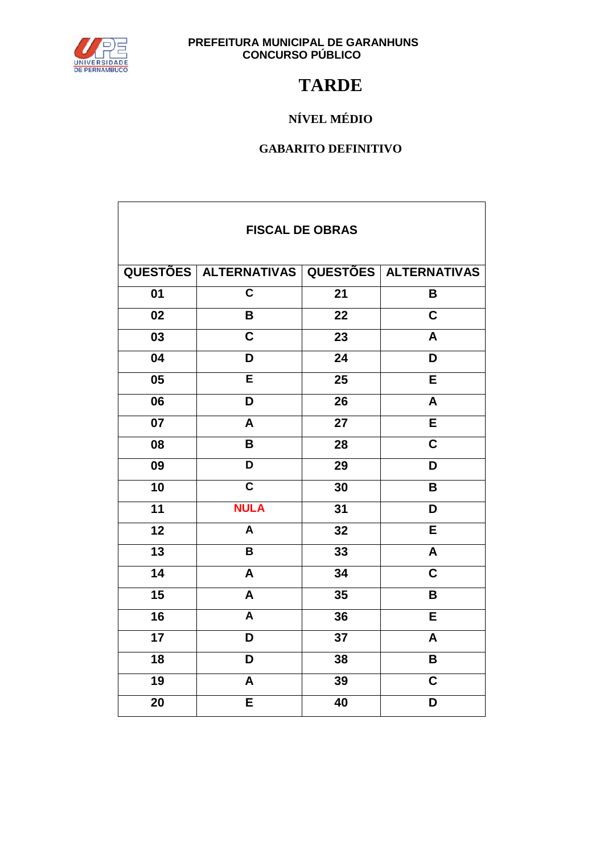

 $\mathbf{r}$ 

# **PREFEITURA MUNICIPAL DE GARANHUNS<br>CONCURSO PÚBLICO**

### **TARDE**

### NÍVEL MÉDIO

| <b>FISCAL DE OBRAS</b> |                                             |                 |                         |  |
|------------------------|---------------------------------------------|-----------------|-------------------------|--|
|                        | QUESTÕES ALTERNATIVAS QUESTÕES ALTERNATIVAS |                 |                         |  |
| $\overline{01}$        | $\overline{\mathsf{c}}$                     | $\overline{21}$ | B                       |  |
| $\overline{02}$        | B                                           | 22              | $\overline{\mathsf{c}}$ |  |
| $\overline{03}$        | $\overline{\mathbf{c}}$                     | 23              | A                       |  |
| 04                     | D                                           | 24              | D                       |  |
| 05                     | E                                           | 25              | E                       |  |
| 06                     | D                                           | 26              | A                       |  |
| 07                     | A                                           | 27              | E                       |  |
| 08                     | B                                           | 28              | $\mathbf C$             |  |
| 09                     | D                                           | 29              | D                       |  |
| $\overline{10}$        | $\overline{\mathsf{c}}$                     | 30              | B                       |  |
| 11                     | <b>NULA</b>                                 | 31              | D                       |  |
| $\overline{12}$        | $\overline{A}$                              | $\overline{32}$ | E                       |  |
| 13                     | B                                           | 33              | A                       |  |
| $\overline{14}$        | A                                           | 34              | $\overline{\mathsf{c}}$ |  |
| 15                     | A                                           | 35              | B                       |  |
| 16                     | A                                           | 36              | E                       |  |
| 17                     | D                                           | 37              | A                       |  |
| 18                     | D                                           | 38              | B                       |  |
| 19                     | A                                           | 39              | $\overline{\mathsf{c}}$ |  |
| 20                     | E                                           | 40              | D                       |  |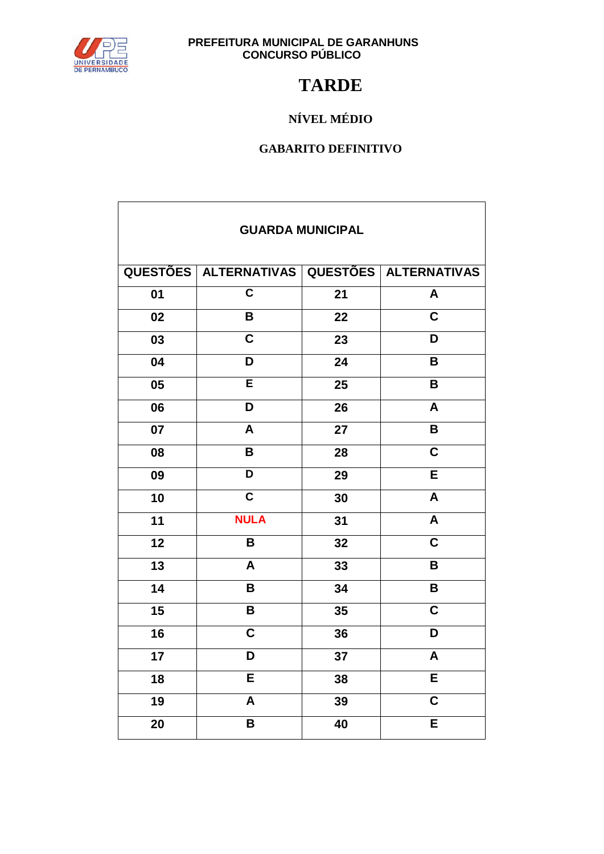

 $\mathbf{r}$ 

# **PREFEITURA MUNICIPAL DE GARANHUNS<br>CONCURSO PÚBLICO**

### **TARDE**

### NÍVEL MÉDIO

| <b>GUARDA MUNICIPAL</b> |                         |    |                         |  |
|-------------------------|-------------------------|----|-------------------------|--|
|                         | QUESTÕES   ALTERNATIVAS |    | QUESTÕES   ALTERNATIVAS |  |
| 01                      | $\overline{\mathsf{c}}$ | 21 | A                       |  |
| 02                      | B                       | 22 | $\mathbf C$             |  |
| 03                      | $\overline{C}$          | 23 | D                       |  |
| 04                      | D                       | 24 | B                       |  |
| 05                      | E                       | 25 | B                       |  |
| 06                      | D                       | 26 | $\overline{\mathsf{A}}$ |  |
| 07                      | A                       | 27 | B                       |  |
| 08                      | B                       | 28 | $\overline{\mathsf{c}}$ |  |
| 09                      | D                       | 29 | E                       |  |
| 10                      | $\overline{\mathsf{c}}$ | 30 | A                       |  |
| 11                      | <b>NULA</b>             | 31 | A                       |  |
| 12                      | B                       | 32 | $\mathbf C$             |  |
| 13                      | A                       | 33 | B                       |  |
| 14                      | B                       | 34 | B                       |  |
| 15                      | B                       | 35 | $\overline{c}$          |  |
| 16                      | $\overline{\mathsf{c}}$ | 36 | D                       |  |
| 17                      | D                       | 37 | $\overline{\mathsf{A}}$ |  |
| 18                      | E                       | 38 | E                       |  |
| 19                      | A                       | 39 | $\overline{\mathsf{c}}$ |  |
| 20                      | B                       | 40 | E                       |  |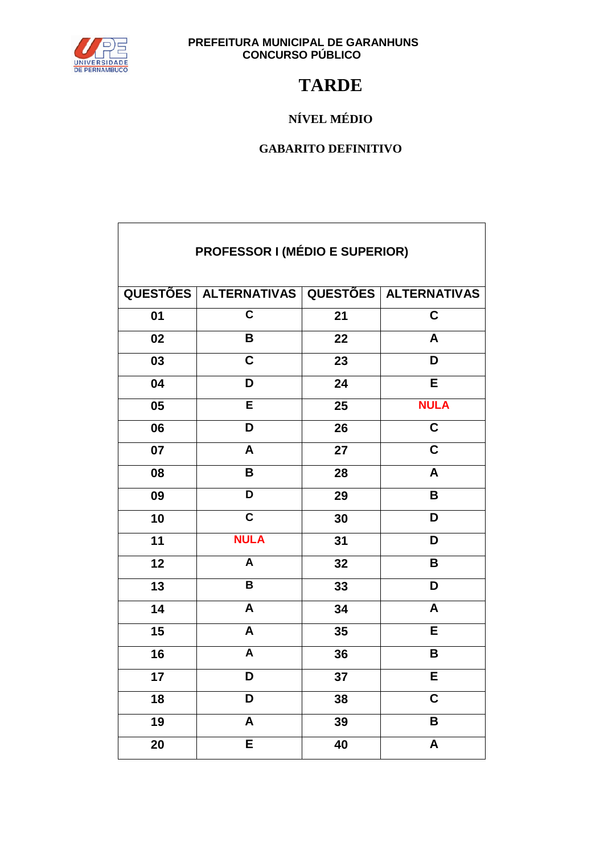

### **TARDE**

### NÍVEL MÉDIO

| <b>PROFESSOR I (MÉDIO E SUPERIOR)</b> |                                             |    |                           |  |
|---------------------------------------|---------------------------------------------|----|---------------------------|--|
|                                       | QUESTÕES ALTERNATIVAS QUESTÕES ALTERNATIVAS |    |                           |  |
| 01                                    | C                                           | 21 | C                         |  |
| 02                                    | B                                           | 22 | A                         |  |
| 03                                    | $\mathbf C$                                 | 23 | D                         |  |
| 04                                    | D                                           | 24 | $\overline{E}$            |  |
| 05                                    | E                                           | 25 | <b>NULA</b>               |  |
| 06                                    | D                                           | 26 | $\overline{\mathsf{C}}$   |  |
| 07                                    | A                                           | 27 | $\mathbf C$               |  |
| 08                                    | B                                           | 28 | A                         |  |
| 09                                    | D                                           | 29 | B                         |  |
| 10                                    | $\overline{\mathsf{c}}$                     | 30 | D                         |  |
| 11                                    | <b>NULA</b>                                 | 31 | D                         |  |
| 12                                    | A                                           | 32 | B                         |  |
| 13                                    | B                                           | 33 | D                         |  |
| 14                                    | $\boldsymbol{A}$                            | 34 | $\mathsf{A}$              |  |
| 15                                    | A                                           | 35 | E                         |  |
| 16                                    | A                                           | 36 | B                         |  |
| 17                                    | D                                           | 37 | E                         |  |
| 18                                    | D                                           | 38 | $\mathbf C$               |  |
| 19                                    | A                                           | 39 | B                         |  |
| 20                                    | E                                           | 40 | $\boldsymbol{\mathsf{A}}$ |  |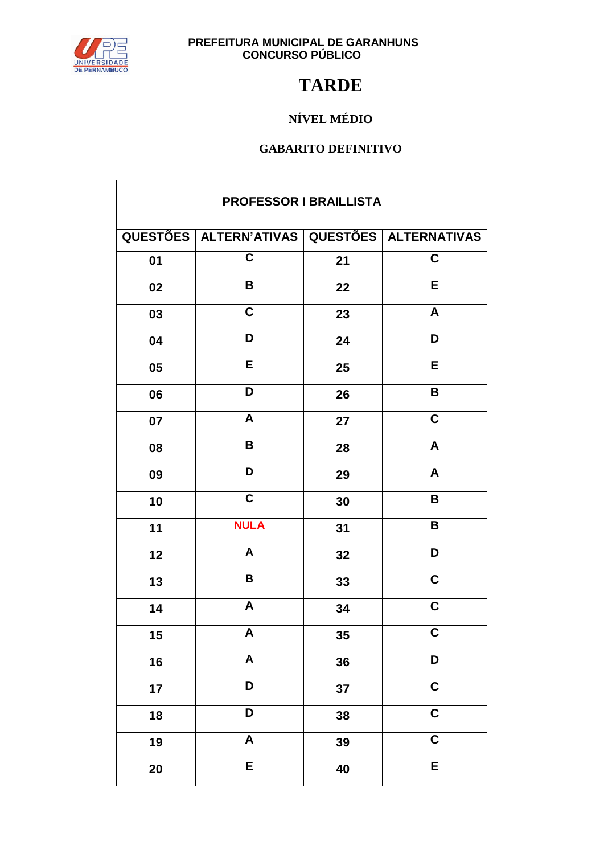

## **TARDE**

### NÍVEL MÉDIO

| PROFESSOR I BRAILLISTA |                                                    |    |                         |  |
|------------------------|----------------------------------------------------|----|-------------------------|--|
|                        | QUESTÕES   ALTERN'ATIVAS   QUESTÕES   ALTERNATIVAS |    |                         |  |
| 01                     | $\overline{\mathsf{c}}$                            | 21 | $\overline{\mathsf{c}}$ |  |
| 02                     | B                                                  | 22 | E                       |  |
| 03                     | $\mathbf C$                                        | 23 | A                       |  |
| 04                     | D                                                  | 24 | D                       |  |
| 05                     | Ē                                                  | 25 | $\overline{E}$          |  |
| 06                     | D                                                  | 26 | B                       |  |
| 07                     | $\boldsymbol{\mathsf{A}}$                          | 27 | $\overline{C}$          |  |
| 08                     | B                                                  | 28 | $\boldsymbol{A}$        |  |
| 09                     | D                                                  | 29 | $\pmb{\mathsf{A}}$      |  |
| 10                     | $\overline{\mathsf{c}}$                            | 30 | B                       |  |
| 11                     | <b>NULA</b>                                        | 31 | $\overline{\mathsf{B}}$ |  |
| 12                     | A                                                  | 32 | D                       |  |
| 13                     | B                                                  | 33 | $\mathbf C$             |  |
| 14                     | A                                                  | 34 | $\overline{\mathbf{C}}$ |  |
| $15\,$                 | A                                                  | 35 | $\mathbf C$             |  |
| 16                     | $\overline{\mathsf{A}}$                            | 36 | D                       |  |
| 17                     | D                                                  | 37 | $\overline{\mathbf{C}}$ |  |
| 18                     | D                                                  | 38 | $\overline{\mathsf{C}}$ |  |
| 19                     | $\boldsymbol{\mathsf{A}}$                          | 39 | $\mathbf C$             |  |
| 20                     | E                                                  | 40 | $\overline{E}$          |  |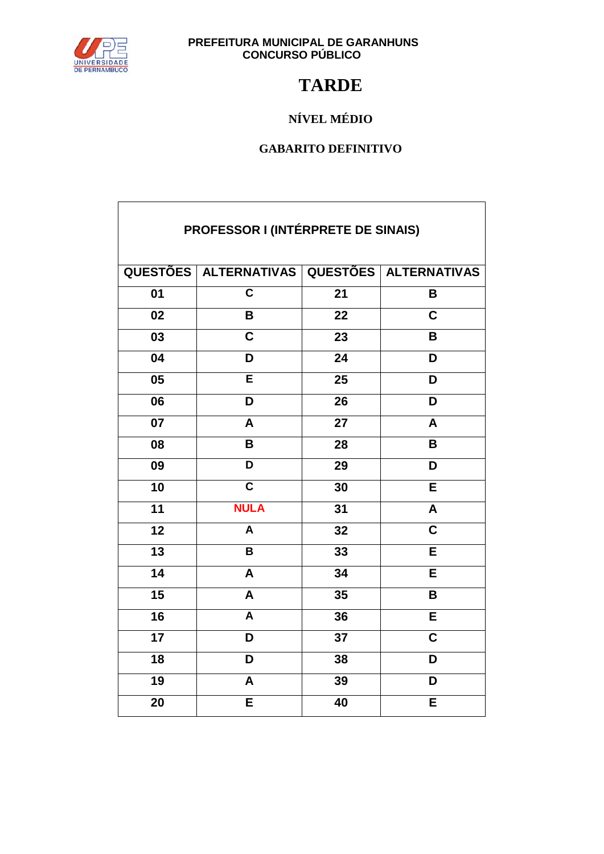

## **TARDE**

### NÍVEL MÉDIO

### **GABARITO DEFINITIVO**

| PROFESSOR I (INTÉRPRETE DE SINAIS) |                                             |                 |                         |  |
|------------------------------------|---------------------------------------------|-----------------|-------------------------|--|
|                                    | QUESTÕES ALTERNATIVAS QUESTÕES ALTERNATIVAS |                 |                         |  |
| $\overline{01}$                    | $\overline{\mathsf{c}}$                     | 21              | B                       |  |
| 02                                 | B                                           | 22              | $\mathbf C$             |  |
| $\overline{03}$                    | $\overline{\mathsf{c}}$                     | $\overline{23}$ | B                       |  |
| $\overline{04}$                    | D                                           | 24              | D                       |  |
| $\overline{05}$                    | E                                           | 25              | D                       |  |
| 06                                 | D                                           | 26              | D                       |  |
| 07                                 | A                                           | 27              | A                       |  |
| 08                                 | B                                           | 28              | B                       |  |
| $\overline{09}$                    | $\overline{\mathsf{D}}$                     | 29              | D                       |  |
| $\overline{10}$                    | $\overline{\mathsf{c}}$                     | 30              | Ē                       |  |
| $\overline{11}$                    | <b>NULA</b>                                 | 31              | A                       |  |
| $\overline{12}$                    | $\overline{\mathsf{A}}$                     | $\overline{32}$ | $\overline{\mathsf{c}}$ |  |
| $\overline{13}$                    | B                                           | 33              | E                       |  |
| $\overline{14}$                    | A                                           | $\overline{34}$ | Ē                       |  |
| $\overline{15}$                    | A                                           | 35              | B                       |  |
| $\overline{16}$                    | A                                           | 36              | Ē                       |  |
| $\overline{17}$                    | D                                           | $\overline{37}$ | $\overline{\mathsf{c}}$ |  |
| $\overline{18}$                    | D                                           | 38              | D                       |  |
| $\overline{19}$                    | A                                           | 39              | $\overline{\mathsf{D}}$ |  |
| 20                                 | $\overline{\sf E}$                          | 40              | Ē                       |  |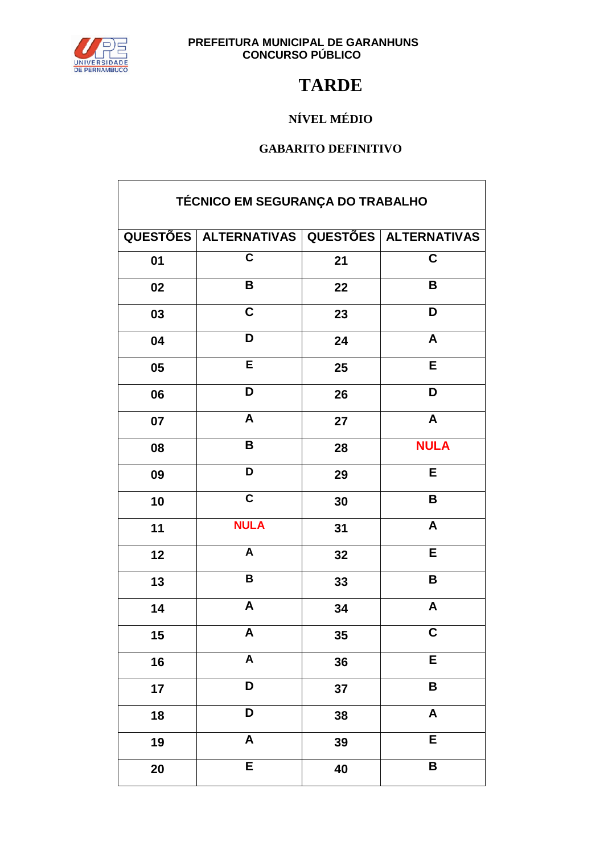

## **TARDE**

### NÍVEL MÉDIO

| TÉCNICO EM SEGURANÇA DO TRABALHO |                                             |    |                           |  |
|----------------------------------|---------------------------------------------|----|---------------------------|--|
|                                  | QUESTÕES ALTERNATIVAS QUESTÕES ALTERNATIVAS |    |                           |  |
| 01                               | $\overline{\mathbf{c}}$                     | 21 | $\mathbf C$               |  |
| 02                               | B                                           | 22 | B                         |  |
| 03                               | $\overline{\mathbf{C}}$                     | 23 | D                         |  |
| 04                               | D                                           | 24 | A                         |  |
| 05                               | E                                           | 25 | E                         |  |
| 06                               | D                                           | 26 | D                         |  |
| 07                               | $\boldsymbol{A}$                            | 27 | $\pmb{\mathsf{A}}$        |  |
| 08                               | $\pmb{\mathsf{B}}$                          | 28 | <b>NULA</b>               |  |
| 09                               | D                                           | 29 | E                         |  |
| 10                               | $\overline{\mathbf{c}}$                     | 30 | B                         |  |
| 11                               | <b>NULA</b>                                 | 31 | $\pmb{\mathsf{A}}$        |  |
| 12                               | $\mathsf{A}$                                | 32 | E                         |  |
| 13                               | $\overline{\mathbf{B}}$                     | 33 | B                         |  |
| 14                               | $\pmb{\mathsf{A}}$                          | 34 | $\boldsymbol{\mathsf{A}}$ |  |
| 15                               | A                                           | 35 | $\overline{\mathbf{C}}$   |  |
| 16                               | $\mathsf{A}$                                | 36 | E                         |  |
| 17                               | D                                           | 37 | B                         |  |
| 18                               | D                                           | 38 | $\pmb{\mathsf{A}}$        |  |
| 19                               | $\pmb{\mathsf{A}}$                          | 39 | E                         |  |
| 20                               | $\overline{E}$                              | 40 | B                         |  |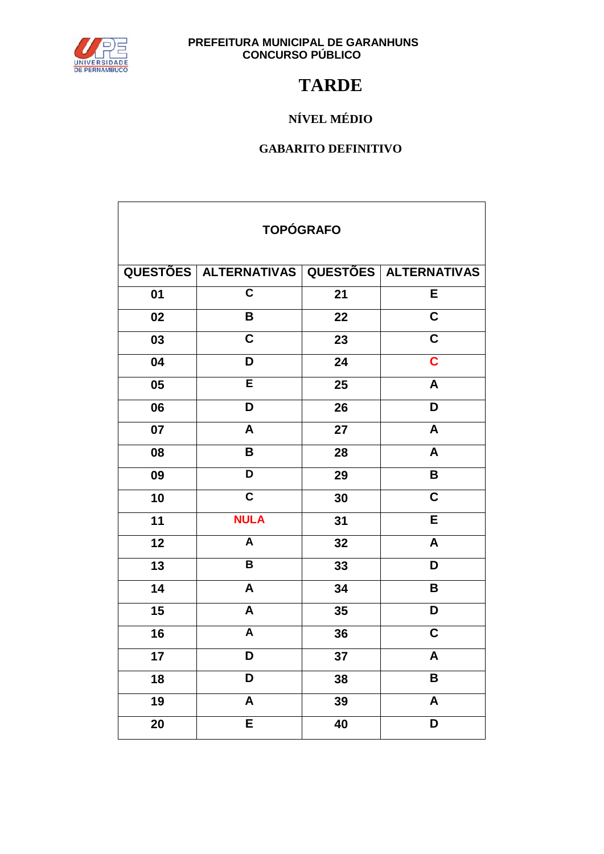

### **TARDE**

### NÍVEL MÉDIO

| <b>TOPÓGRAFO</b> |                                             |    |                         |  |
|------------------|---------------------------------------------|----|-------------------------|--|
|                  | QUESTÕES ALTERNATIVAS QUESTÕES ALTERNATIVAS |    |                         |  |
| 01               | $\overline{\mathsf{c}}$                     | 21 | E                       |  |
| 02               | B                                           | 22 | $\overline{\mathsf{c}}$ |  |
| 03               | $\overline{\mathbf{c}}$                     | 23 | $\overline{\mathsf{c}}$ |  |
| 04               | D                                           | 24 | $\overline{\mathbf{c}}$ |  |
| 05               | Ē                                           | 25 | $\overline{\mathsf{A}}$ |  |
| 06               | D                                           | 26 | D                       |  |
| 07               | $\overline{A}$                              | 27 | $\overline{\mathsf{A}}$ |  |
| 08               | B                                           | 28 | A                       |  |
| 09               | $\overline{\mathsf{D}}$                     | 29 | B                       |  |
| 10               | $\overline{\mathsf{c}}$                     | 30 | $\overline{\mathsf{c}}$ |  |
| 11               | <b>NULA</b>                                 | 31 | $\overline{\mathsf{E}}$ |  |
| 12               | $\overline{\mathsf{A}}$                     | 32 | $\overline{\mathsf{A}}$ |  |
| $\overline{13}$  | $\overline{\mathsf{B}}$                     | 33 | D                       |  |
| $\overline{14}$  | A                                           | 34 | B                       |  |
| 15               | A                                           | 35 | D                       |  |
| 16               | A                                           | 36 | $\mathbf C$             |  |
| 17               | D                                           | 37 | $\overline{\mathsf{A}}$ |  |
| 18               | D                                           | 38 | B                       |  |
| 19               | A                                           | 39 | A                       |  |
| 20               | E                                           | 40 | D                       |  |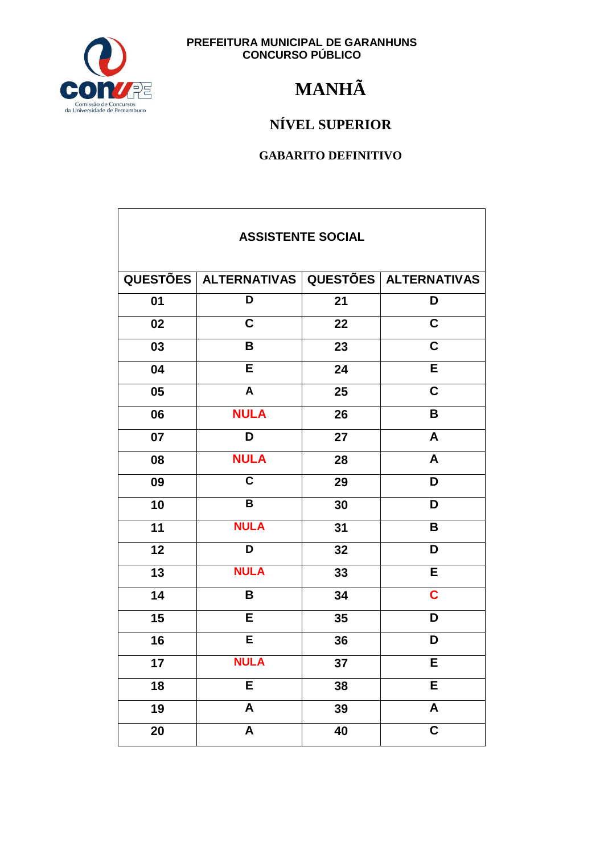

## **MANHÃ**

### NÍVEL SUPERIOR

| <b>ASSISTENTE SOCIAL</b> |                                             |    |                         |  |
|--------------------------|---------------------------------------------|----|-------------------------|--|
|                          | QUESTÕES ALTERNATIVAS QUESTÕES ALTERNATIVAS |    |                         |  |
| 01                       | D                                           | 21 | D                       |  |
| 02                       | $\overline{\mathsf{C}}$                     | 22 | $\overline{\mathsf{c}}$ |  |
| 03                       | $\pmb{\mathsf{B}}$                          | 23 | $\overline{\mathsf{C}}$ |  |
| 04                       | E                                           | 24 | E                       |  |
| 05                       | $\mathbf{A}$                                | 25 | $\overline{\mathsf{c}}$ |  |
| 06                       | <b>NULA</b>                                 | 26 | B                       |  |
| 07                       | D                                           | 27 | A                       |  |
| 08                       | <b>NULA</b>                                 | 28 | A                       |  |
| 09                       | $\overline{\mathsf{c}}$                     | 29 | D                       |  |
| 10                       | $\overline{\mathsf{B}}$                     | 30 | D                       |  |
| 11                       | <b>NULA</b>                                 | 31 | B                       |  |
| 12                       | D                                           | 32 | D                       |  |
| 13                       | <b>NULA</b>                                 | 33 | E                       |  |
| 14                       | B                                           | 34 | $\overline{\mathbf{C}}$ |  |
| 15                       | E                                           | 35 | D                       |  |
| 16                       | Ē                                           | 36 | D                       |  |
| 17                       | <b>NULA</b>                                 | 37 | E                       |  |
| 18                       | E                                           | 38 | E                       |  |
| 19                       | $\boldsymbol{\mathsf{A}}$                   | 39 | A                       |  |
| 20                       | $\overline{\mathbf{A}}$                     | 40 | $\overline{\mathsf{c}}$ |  |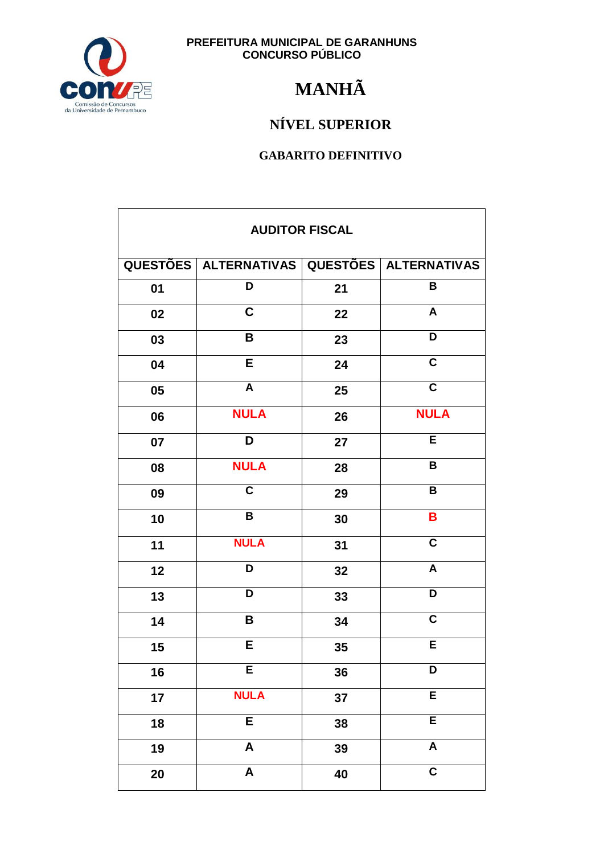

## **MANHÃ**

### NÍVEL SUPERIOR

| <b>AUDITOR FISCAL</b> |                                             |    |                         |
|-----------------------|---------------------------------------------|----|-------------------------|
|                       | QUESTÕES ALTERNATIVAS QUESTÕES ALTERNATIVAS |    |                         |
| 01                    | $\overline{\mathsf{D}}$                     | 21 | $\overline{\mathsf{B}}$ |
| 02                    | $\mathbf C$                                 | 22 | A                       |
| 03                    | B                                           | 23 | D                       |
| 04                    | Е                                           | 24 | C                       |
| 05                    | A                                           | 25 | $\mathbf C$             |
| 06                    | <b>NULA</b>                                 | 26 | <b>NULA</b>             |
| 07                    | D                                           | 27 | E                       |
| 08                    | <b>NULA</b>                                 | 28 | B                       |
| 09                    | $\mathbf C$                                 | 29 | B                       |
| 10                    | B                                           | 30 | B                       |
| 11                    | <b>NULA</b>                                 | 31 | $\overline{\mathsf{c}}$ |
| 12                    | D                                           | 32 | A                       |
| 13                    | D                                           | 33 | D                       |
| 14                    | B                                           | 34 | $\mathbf C$             |
| 15                    | E                                           | 35 | E                       |
| 16                    | E                                           | 36 | $\overline{\mathsf{D}}$ |
| 17                    | <b>NULA</b>                                 | 37 | E                       |
| 18                    | E                                           | 38 | $\overline{E}$          |
| 19                    | $\pmb{\mathsf{A}}$                          | 39 | $\overline{\mathsf{A}}$ |
| 20                    | $\pmb{\mathsf{A}}$                          | 40 | $\overline{\mathsf{c}}$ |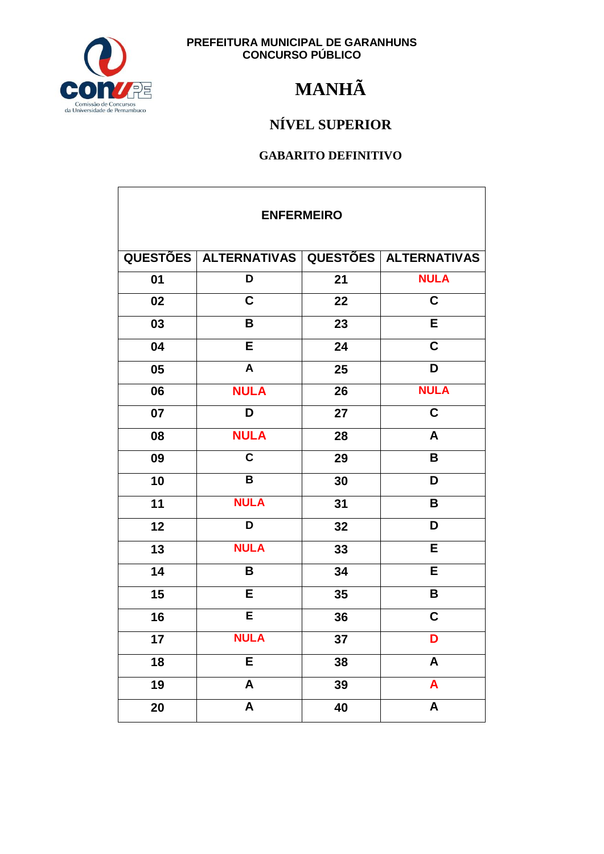

## **MANHÃ**

### NÍVEL SUPERIOR

| <b>ENFERMEIRO</b> |                           |    |                           |  |
|-------------------|---------------------------|----|---------------------------|--|
|                   | QUESTÕES   ALTERNATIVAS   |    | QUESTÕES   ALTERNATIVAS   |  |
| 01                | D                         | 21 | <b>NULA</b>               |  |
| 02                | $\mathbf C$               | 22 | $\mathbf C$               |  |
| 03                | B                         | 23 | E                         |  |
| 04                | E                         | 24 | $\overline{\mathsf{C}}$   |  |
| 05                | $\boldsymbol{A}$          | 25 | D                         |  |
| 06                | <b>NULA</b>               | 26 | <b>NULA</b>               |  |
| 07                | D                         | 27 | $\overline{\mathsf{C}}$   |  |
| 08                | <b>NULA</b>               | 28 | A                         |  |
| 09                | $\overline{\mathsf{c}}$   | 29 | B                         |  |
| 10                | $\overline{\mathsf{B}}$   | 30 | D                         |  |
| 11                | <b>NULA</b>               | 31 | B                         |  |
| 12                | D                         | 32 | D                         |  |
| 13                | <b>NULA</b>               | 33 | E                         |  |
| 14                | B                         | 34 | E                         |  |
| 15                | E                         | 35 | $\mathbf B$               |  |
| 16                | $\overline{E}$            | 36 | $\mathbf C$               |  |
| 17                | <b>NULA</b>               | 37 | D                         |  |
| 18                | E                         | 38 | $\boldsymbol{\mathsf{A}}$ |  |
| 19                | $\boldsymbol{\mathsf{A}}$ | 39 | $\boldsymbol{A}$          |  |
| 20                | A                         | 40 | $\pmb{\mathsf{A}}$        |  |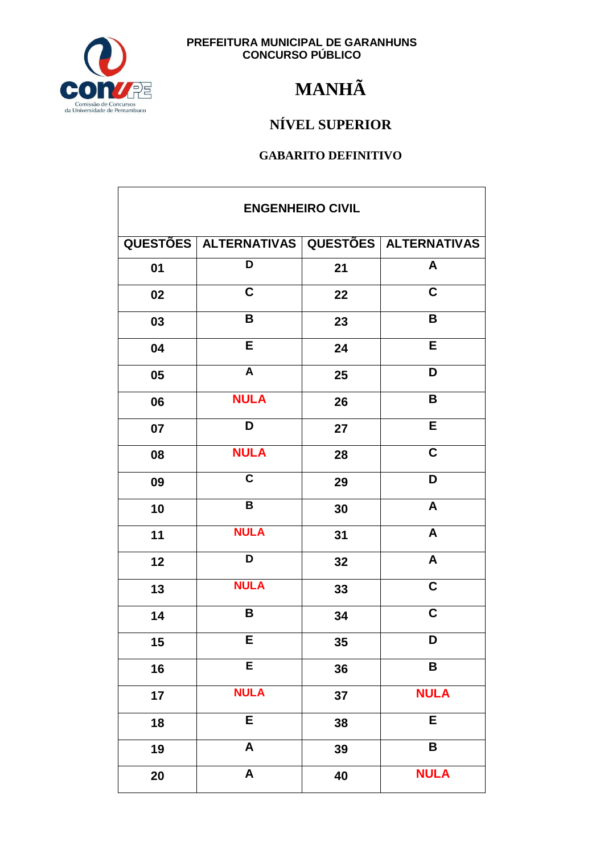

## **MANHÃ**

### NÍVEL SUPERIOR

| <b>ENGENHEIRO CIVIL</b> |                                             |    |                         |
|-------------------------|---------------------------------------------|----|-------------------------|
|                         | QUESTÕES ALTERNATIVAS QUESTÕES ALTERNATIVAS |    |                         |
| 01                      | D                                           | 21 | A                       |
| 02                      | $\mathbf C$                                 | 22 | $\mathbf C$             |
| 03                      | B                                           | 23 | B                       |
| 04                      | E                                           | 24 | E                       |
| 05                      | $\overline{A}$                              | 25 | D                       |
| 06                      | <b>NULA</b>                                 | 26 | B                       |
| 07                      | D                                           | 27 | E                       |
| 08                      | <b>NULA</b>                                 | 28 | $\overline{\mathbf{C}}$ |
| 09                      | $\overline{\mathsf{c}}$                     | 29 | D                       |
| 10                      | $\overline{B}$                              | 30 | $\boldsymbol{A}$        |
| 11                      | <b>NULA</b>                                 | 31 | $\boldsymbol{A}$        |
| 12                      | D                                           | 32 | $\blacktriangle$        |
| 13                      | <b>NULA</b>                                 | 33 | $\overline{\mathbf{C}}$ |
| 14                      | B                                           | 34 | $\overline{c}$          |
| 15                      | E.                                          | 35 | D                       |
| 16                      | E                                           | 36 | $\overline{\mathbf{B}}$ |
| 17                      | <b>NULA</b>                                 | 37 | <b>NULA</b>             |
| 18                      | E                                           | 38 | E                       |
| 19                      | $\boldsymbol{\mathsf{A}}$                   | 39 | B                       |
| 20                      | $\boldsymbol{\mathsf{A}}$                   | 40 | <b>NULA</b>             |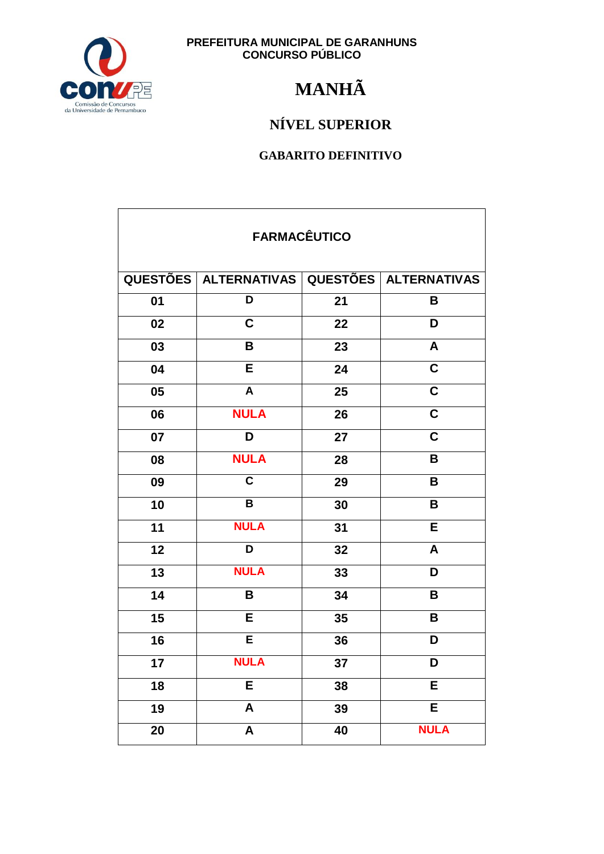

## **MANHÃ**

### NÍVEL SUPERIOR

| <b>FARMACÊUTICO</b> |                                             |    |                         |  |
|---------------------|---------------------------------------------|----|-------------------------|--|
|                     | QUESTÕES ALTERNATIVAS QUESTÕES ALTERNATIVAS |    |                         |  |
| 01                  | D                                           | 21 | В                       |  |
| 02                  | $\mathbf C$                                 | 22 | D                       |  |
| 03                  | B                                           | 23 | $\mathsf{A}$            |  |
| 04                  | E                                           | 24 | $\overline{\mathbf{C}}$ |  |
| 05                  | $\overline{\mathsf{A}}$                     | 25 | $\overline{\mathbf{C}}$ |  |
| 06                  | <b>NULA</b>                                 | 26 | $\overline{\mathbf{c}}$ |  |
| 07                  | D                                           | 27 | $\overline{\mathsf{c}}$ |  |
| 08                  | <b>NULA</b>                                 | 28 | B                       |  |
| 09                  | $\mathbf C$                                 | 29 | B                       |  |
| 10                  | $\overline{\mathbf{B}}$                     | 30 | B                       |  |
| 11                  | <b>NULA</b>                                 | 31 | E                       |  |
| 12                  | D                                           | 32 | A                       |  |
| 13                  | <b>NULA</b>                                 | 33 | D                       |  |
| 14                  | B                                           | 34 | B                       |  |
| 15                  | E                                           | 35 | B                       |  |
| 16                  | Ē                                           | 36 | D                       |  |
| 17                  | <b>NULA</b>                                 | 37 | D                       |  |
| $\overline{18}$     | $\overline{E}$                              | 38 | $\overline{E}$          |  |
| 19                  | $\boldsymbol{\mathsf{A}}$                   | 39 | E                       |  |
| 20                  | $\mathsf{A}$                                | 40 | <b>NULA</b>             |  |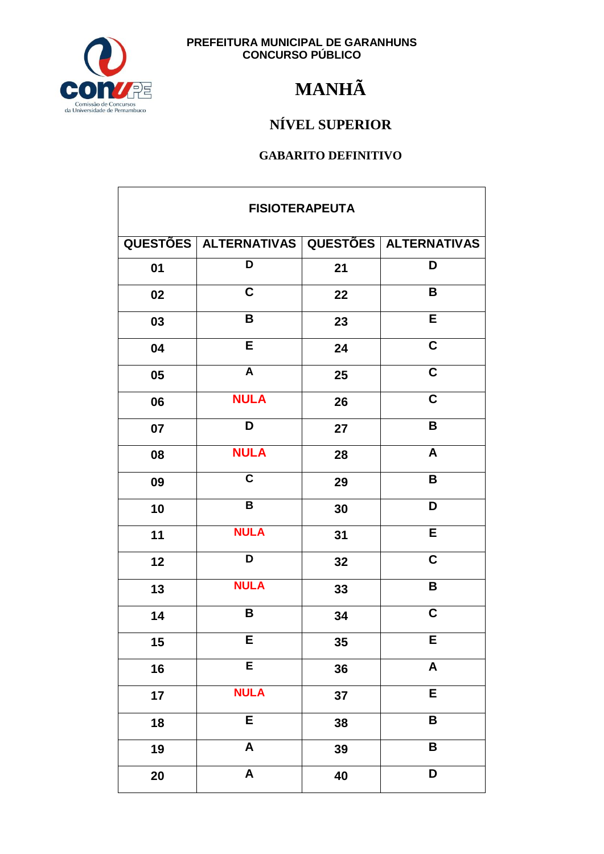

## **MANHÃ**

### NÍVEL SUPERIOR

| <b>FISIOTERAPEUTA</b> |                                                   |    |                         |
|-----------------------|---------------------------------------------------|----|-------------------------|
|                       | QUESTÕES   ALTERNATIVAS   QUESTÕES   ALTERNATIVAS |    |                         |
| 01                    | $\overline{\mathsf{D}}$                           | 21 | D                       |
| 02                    | $\mathbf C$                                       | 22 | B                       |
| 03                    | B                                                 | 23 | E                       |
| 04                    | E                                                 | 24 | $\overline{\mathsf{c}}$ |
| 05                    | $\overline{A}$                                    | 25 | $\overline{\mathbf{C}}$ |
| 06                    | <b>NULA</b>                                       | 26 | $\overline{\mathsf{c}}$ |
| 07                    | D                                                 | 27 | B                       |
| 08                    | <b>NULA</b>                                       | 28 | A                       |
| 09                    | $\mathbf C$                                       | 29 | $\overline{\mathsf{B}}$ |
| 10                    | $\overline{B}$                                    | 30 | D                       |
| 11                    | <b>NULA</b>                                       | 31 | E                       |
| 12                    | D                                                 | 32 | $\mathbf C$             |
| 13                    | <b>NULA</b>                                       | 33 | B                       |
| 14                    | B                                                 | 34 | $\mathbf C$             |
| $15\,$                | Е                                                 | 35 | Е                       |
| 16                    | E                                                 | 36 | A                       |
| 17                    | <b>NULA</b>                                       | 37 | $\overline{E}$          |
| 18                    | E                                                 | 38 | B                       |
| 19                    | $\overline{\mathsf{A}}$                           | 39 | B                       |
| 20                    | $\boldsymbol{\mathsf{A}}$                         | 40 | D                       |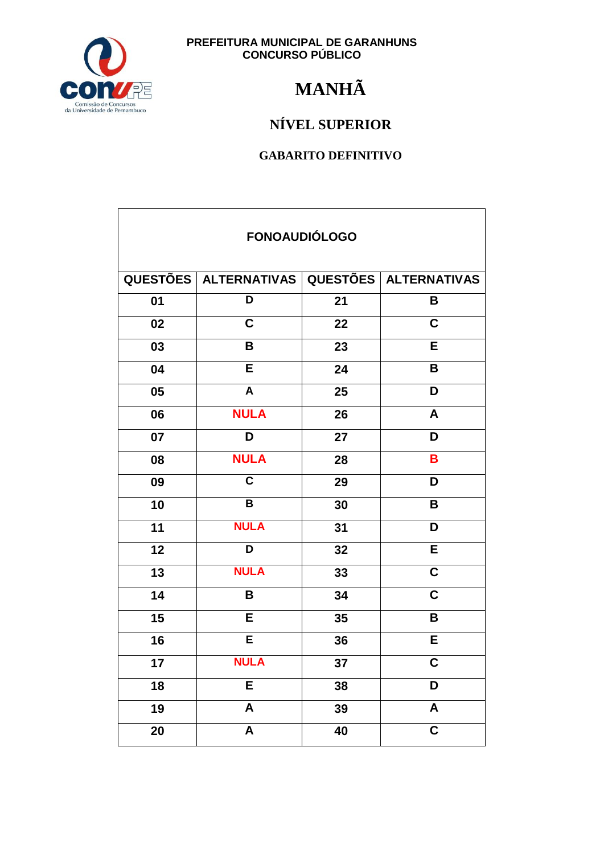

## **MANHÃ**

### NÍVEL SUPERIOR

| <b>FONOAUDIÓLOGO</b> |                                             |    |                         |  |
|----------------------|---------------------------------------------|----|-------------------------|--|
|                      | QUESTÕES ALTERNATIVAS QUESTÕES ALTERNATIVAS |    |                         |  |
| 01                   | D                                           | 21 | В                       |  |
| 02                   | $\mathbf C$                                 | 22 | $\mathbf C$             |  |
| 03                   | B                                           | 23 | E                       |  |
| 04                   | $\overline{\mathsf{E}}$                     | 24 | B                       |  |
| 05                   | A                                           | 25 | D                       |  |
| 06                   | <b>NULA</b>                                 | 26 | $\mathsf{A}$            |  |
| 07                   | D                                           | 27 | $\overline{\mathsf{D}}$ |  |
| 08                   | <b>NULA</b>                                 | 28 | B                       |  |
| 09                   | $\overline{\mathsf{c}}$                     | 29 | D                       |  |
| 10                   | $\pmb{\mathsf{B}}$                          | 30 | B                       |  |
| 11                   | <b>NULA</b>                                 | 31 | D                       |  |
| 12                   | D                                           | 32 | E                       |  |
| 13                   | <b>NULA</b>                                 | 33 | $\overline{\mathsf{c}}$ |  |
| 14                   | B                                           | 34 | $\overline{\mathsf{C}}$ |  |
| 15                   | E                                           | 35 | B                       |  |
| 16                   | Ē                                           | 36 | E                       |  |
| 17                   | <b>NULA</b>                                 | 37 | $\mathbf C$             |  |
| 18                   | E                                           | 38 | D                       |  |
| 19                   | $\boldsymbol{\mathsf{A}}$                   | 39 | A                       |  |
| 20                   | $\boldsymbol{A}$                            | 40 | $\mathbf C$             |  |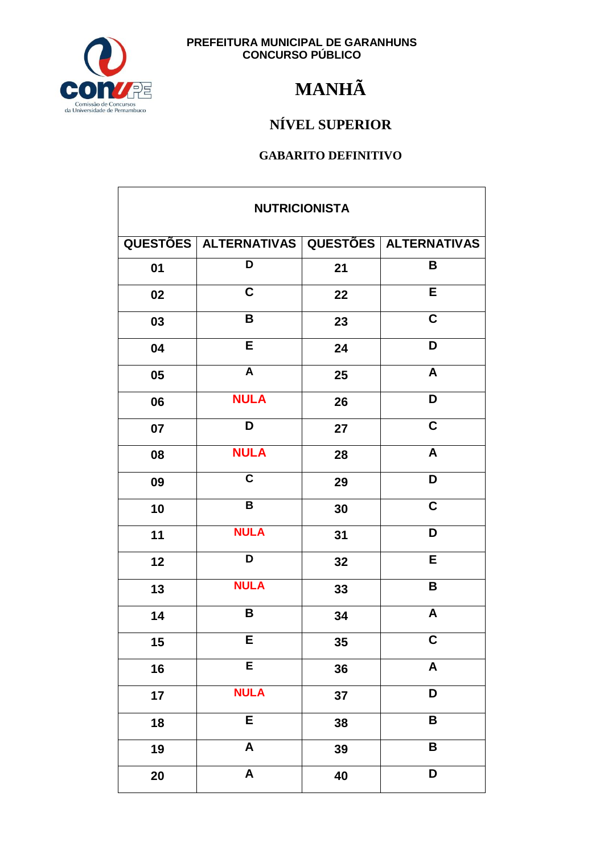

## **MANHÃ**

### NÍVEL SUPERIOR

| <b>NUTRICIONISTA</b> |                                             |    |                           |
|----------------------|---------------------------------------------|----|---------------------------|
|                      | QUESTÕES ALTERNATIVAS QUESTÕES ALTERNATIVAS |    |                           |
| 01                   | D                                           | 21 | B                         |
| 02                   | C                                           | 22 | E                         |
| 03                   | B                                           | 23 | $\overline{\mathbf{C}}$   |
| 04                   | E                                           | 24 | $\overline{\mathsf{D}}$   |
| 05                   | $\overline{\mathbf{A}}$                     | 25 | $\boldsymbol{\mathsf{A}}$ |
| 06                   | <b>NULA</b>                                 | 26 | D                         |
| 07                   | D                                           | 27 | $\mathbf C$               |
| 08                   | <b>NULA</b>                                 | 28 | $\boldsymbol{\mathsf{A}}$ |
| 09                   | $\overline{\mathsf{c}}$                     | 29 | $\overline{\mathsf{D}}$   |
| 10                   | $\, {\bf B}$                                | 30 | $\overline{\mathbf{C}}$   |
| 11                   | <b>NULA</b>                                 | 31 | D                         |
| 12                   | D                                           | 32 | E                         |
| 13                   | <b>NULA</b>                                 | 33 | $\overline{\mathsf{B}}$   |
| 14                   | B                                           | 34 | $\boldsymbol{\mathsf{A}}$ |
| 15                   | F.                                          | 35 | C                         |
| 16                   | E                                           | 36 | $\pmb{\mathsf{A}}$        |
| 17                   | <b>NULA</b>                                 | 37 | D                         |
| 18                   | E                                           | 38 | B                         |
| 19                   | $\overline{\mathsf{A}}$                     | 39 | $\overline{\mathbf{B}}$   |
| 20                   | $\boldsymbol{\mathsf{A}}$                   | 40 | D                         |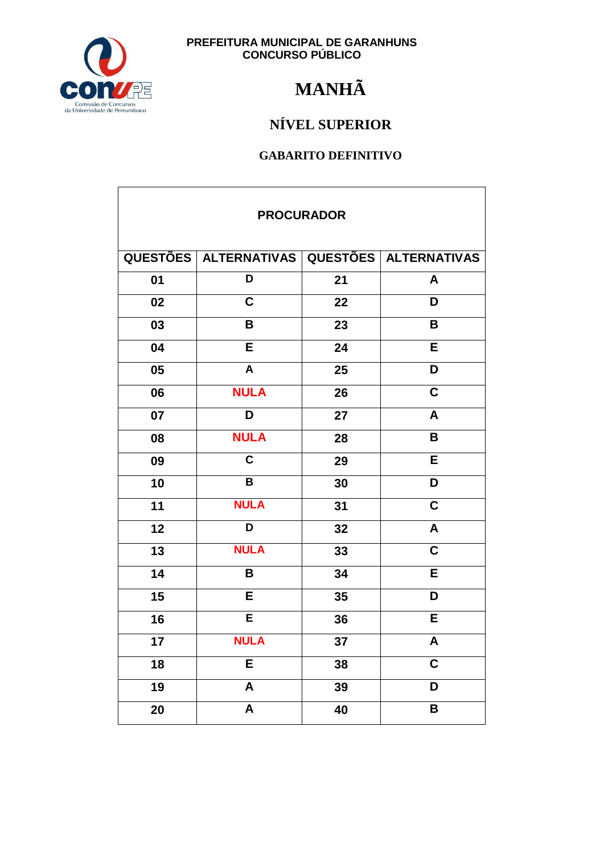

## **MANHÃ**

### NÍVEL SUPERIOR

| <b>PROCURADOR</b> |                         |                 |                         |  |
|-------------------|-------------------------|-----------------|-------------------------|--|
|                   | QUESTÕES   ALTERNATIVAS |                 | QUESTÕES ALTERNATIVAS   |  |
| 01                | D                       | 21              | A                       |  |
| 02                | $\mathbf C$             | 22              | D                       |  |
| 03                | B                       | 23              | B                       |  |
| 04                | $\overline{\mathsf{E}}$ | 24              | $\overline{E}$          |  |
| 05                | A                       | 25              | D                       |  |
| 06                | <b>NULA</b>             | 26              | $\mathbf C$             |  |
| 07                | D                       | 27              | A                       |  |
| 08                | <b>NULA</b>             | 28              | B                       |  |
| 09                | $\overline{\mathsf{c}}$ | 29              | E                       |  |
| 10                | $\pmb{\mathsf{B}}$      | 30              | D                       |  |
| 11                | <b>NULA</b>             | 31              | $\overline{\mathsf{c}}$ |  |
| 12                | D                       | 32              | $\overline{\mathsf{A}}$ |  |
| 13                | <b>NULA</b>             | 33              | $\overline{\mathbf{C}}$ |  |
| 14                | B                       | 34              | E                       |  |
| 15                | E                       | 35              | D                       |  |
| 16                | Ē                       | 36              | E                       |  |
| 17                | <b>NULA</b>             | 37              | Α                       |  |
| 18                | E                       | 38              | C                       |  |
| 19                | $\overline{\mathsf{A}}$ | 39              | D                       |  |
| 20                | $\overline{\mathsf{A}}$ | $\overline{40}$ | B                       |  |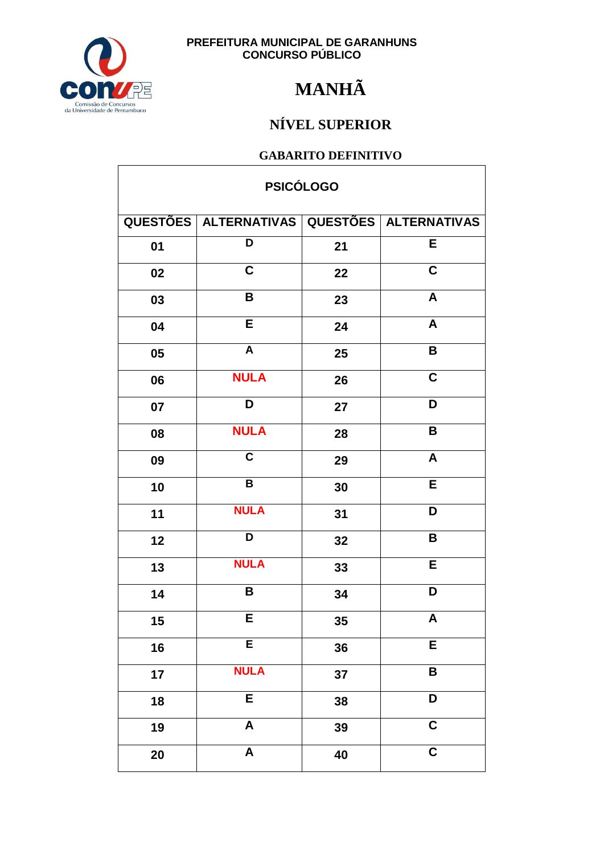

## **MANHÃ**

### NÍVEL SUPERIOR

| <b>PSICÓLOGO</b> |                                                   |    |                         |  |
|------------------|---------------------------------------------------|----|-------------------------|--|
|                  | QUESTÕES   ALTERNATIVAS   QUESTÕES   ALTERNATIVAS |    |                         |  |
| 01               | D                                                 | 21 | E                       |  |
| 02               | $\overline{\mathbf{C}}$                           | 22 | $\overline{\mathbf{C}}$ |  |
| 03               | B                                                 | 23 | $\pmb{\mathsf{A}}$      |  |
| 04               | E                                                 | 24 | A                       |  |
| 05               | $\mathsf{A}$                                      | 25 | $\pmb{\mathsf{B}}$      |  |
| 06               | <b>NULA</b>                                       | 26 | $\overline{\mathbf{C}}$ |  |
| 07               | D                                                 | 27 | D                       |  |
| 08               | <b>NULA</b>                                       | 28 | B                       |  |
| 09               | $\mathbf C$                                       | 29 | A                       |  |
| 10               | B                                                 | 30 | E                       |  |
| 11               | <b>NULA</b>                                       | 31 | D                       |  |
| 12               | D                                                 | 32 | B                       |  |
| 13               | <b>NULA</b>                                       | 33 | E                       |  |
| 14               | B                                                 | 34 | D                       |  |
| 15               | E                                                 | 35 | $\mathsf{A}$            |  |
| 16               | E                                                 | 36 | E                       |  |
| 17               | <b>NULA</b>                                       | 37 | B                       |  |
| 18               | E                                                 | 38 | $\overline{\mathsf{D}}$ |  |
| 19               | $\boldsymbol{\mathsf{A}}$                         | 39 | $\overline{\mathsf{c}}$ |  |
| 20               | $\overline{\mathbf{A}}$                           | 40 | $\overline{\mathbf{C}}$ |  |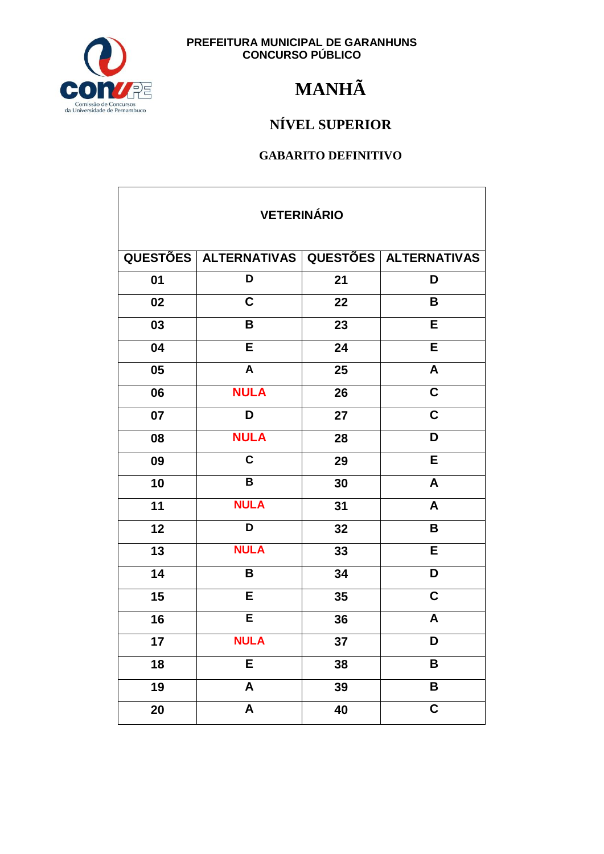

## **MANHÃ**

### NÍVEL SUPERIOR

| <b>VETERINÁRIO</b> |                         |    |                           |  |
|--------------------|-------------------------|----|---------------------------|--|
|                    | QUESTÕES ALTERNATIVAS   |    | QUESTÕES ALTERNATIVAS     |  |
| 01                 | D                       | 21 | D                         |  |
| 02                 | $\mathbf C$             | 22 | B                         |  |
| 03                 | B                       | 23 | E                         |  |
| 04                 | $\overline{\mathsf{E}}$ | 24 | $\overline{\mathsf{E}}$   |  |
| 05                 | $\overline{A}$          | 25 | $\overline{\mathsf{A}}$   |  |
| 06                 | <b>NULA</b>             | 26 | $\overline{\mathbf{C}}$   |  |
| 07                 | D                       | 27 | $\mathbf C$               |  |
| 08                 | <b>NULA</b>             | 28 | D                         |  |
| 09                 | $\overline{\mathsf{c}}$ | 29 | E                         |  |
| 10                 | $\overline{\mathbf{B}}$ | 30 | A                         |  |
| 11                 | <b>NULA</b>             | 31 | $\boldsymbol{A}$          |  |
| 12                 | $\overline{\mathsf{D}}$ | 32 | $\overline{\mathsf{B}}$   |  |
| 13                 | <b>NULA</b>             | 33 | E                         |  |
| 14                 | B                       | 34 | D                         |  |
| 15                 | E                       | 35 | $\overline{\mathbf{C}}$   |  |
| 16                 | Ē                       | 36 | $\boldsymbol{\mathsf{A}}$ |  |
| 17                 | <b>NULA</b>             | 37 | D                         |  |
| 18                 | E                       | 38 | В                         |  |
| 19                 | $\overline{\mathsf{A}}$ | 39 | B                         |  |
| 20                 | $\overline{\mathsf{A}}$ | 40 | $\overline{\mathbf{c}}$   |  |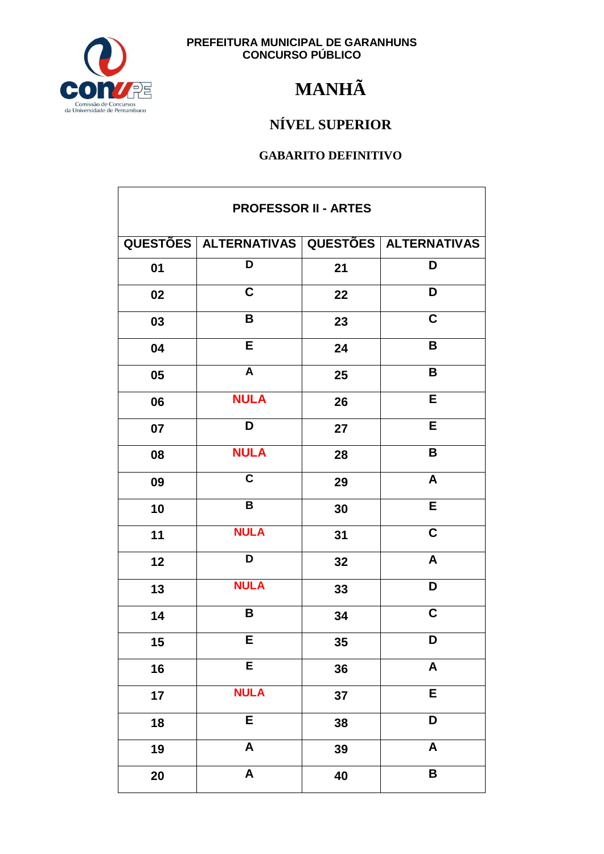

## **MANHÃ**

### NÍVEL SUPERIOR

| <b>PROFESSOR II - ARTES</b> |                                                   |    |                           |
|-----------------------------|---------------------------------------------------|----|---------------------------|
|                             | QUESTÕES   ALTERNATIVAS   QUESTÕES   ALTERNATIVAS |    |                           |
| 01                          | D                                                 | 21 | D                         |
| 02                          | C                                                 | 22 | D                         |
| 03                          | B                                                 | 23 | $\overline{\mathbf{C}}$   |
| 04                          | E                                                 | 24 | $\mathsf B$               |
| 05                          | $\boldsymbol{\mathsf{A}}$                         | 25 | B                         |
| 06                          | <b>NULA</b>                                       | 26 | E                         |
| 07                          | D                                                 | 27 | E                         |
| 08                          | <b>NULA</b>                                       | 28 | B                         |
| 09                          | $\overline{\mathsf{c}}$                           | 29 | $\boldsymbol{A}$          |
| 10                          | $\, {\bf B}$                                      | 30 | E                         |
| 11                          | <b>NULA</b>                                       | 31 | $\mathbf C$               |
| 12                          | D                                                 | 32 | $\boldsymbol{A}$          |
| 13                          | <b>NULA</b>                                       | 33 | $\overline{\mathsf{D}}$   |
| 14                          | B                                                 | 34 | $\overline{c}$            |
| $15\,$                      | Е                                                 | 35 | D                         |
| 16                          | E                                                 | 36 | $\pmb{\mathsf{A}}$        |
| 17                          | <b>NULA</b>                                       | 37 | E                         |
| 18                          | E                                                 | 38 | D                         |
| 19                          | $\overline{\mathsf{A}}$                           | 39 | $\boldsymbol{\mathsf{A}}$ |
| 20                          | $\boldsymbol{\mathsf{A}}$                         | 40 | B                         |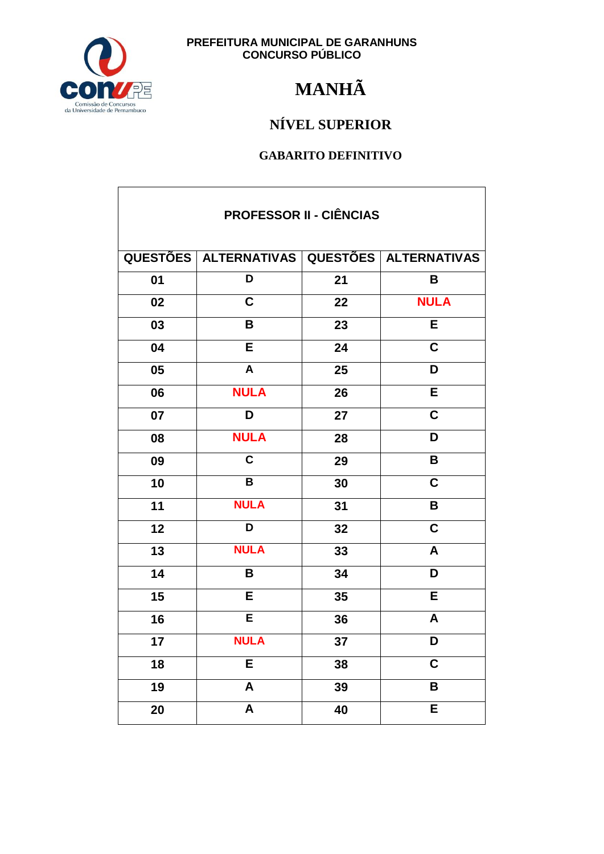

## **MANHÃ**

### NÍVEL SUPERIOR

| <b>PROFESSOR II - CIÊNCIAS</b> |                                             |    |                         |  |
|--------------------------------|---------------------------------------------|----|-------------------------|--|
|                                | QUESTÕES ALTERNATIVAS QUESTÕES ALTERNATIVAS |    |                         |  |
| 01                             | D                                           | 21 | B                       |  |
| 02                             | $\overline{\mathsf{C}}$                     | 22 | <b>NULA</b>             |  |
| 03                             | B                                           | 23 | E                       |  |
| 04                             | E                                           | 24 | $\mathbf C$             |  |
| 05                             | $\mathsf{A}$                                | 25 | D                       |  |
| 06                             | <b>NULA</b>                                 | 26 | E                       |  |
| 07                             | D                                           | 27 | $\mathbf C$             |  |
| 08                             | <b>NULA</b>                                 | 28 | D                       |  |
| 09                             | $\overline{\mathsf{c}}$                     | 29 | B                       |  |
| 10                             | $\overline{\mathsf{B}}$                     | 30 | $\overline{\mathsf{c}}$ |  |
| 11                             | <b>NULA</b>                                 | 31 | B                       |  |
| 12                             | D                                           | 32 | $\overline{\mathsf{C}}$ |  |
| 13                             | <b>NULA</b>                                 | 33 | A                       |  |
| 14                             | B                                           | 34 | D                       |  |
| 15                             | E                                           | 35 | E                       |  |
| 16                             | E                                           | 36 | A                       |  |
| 17                             | <b>NULA</b>                                 | 37 | D                       |  |
| 18                             | E                                           | 38 | $\overline{\mathbf{C}}$ |  |
| 19                             | $\overline{\mathsf{A}}$                     | 39 | B                       |  |
| 20                             | $\overline{\mathsf{A}}$                     | 40 | E                       |  |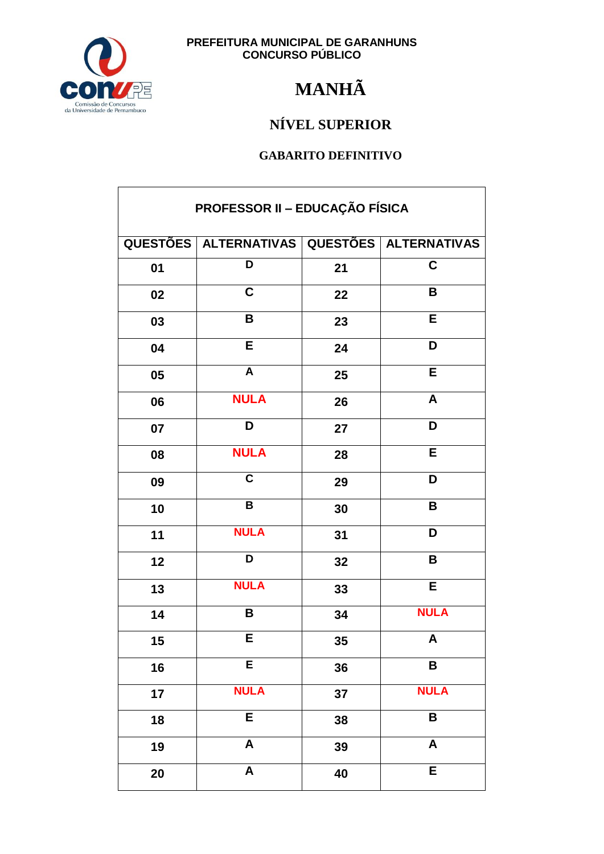

## **MANHÃ**

### NÍVEL SUPERIOR

| PROFESSOR II - EDUCAÇÃO FÍSICA |                                             |    |                           |
|--------------------------------|---------------------------------------------|----|---------------------------|
|                                | QUESTÕES ALTERNATIVAS QUESTÕES ALTERNATIVAS |    |                           |
| 01                             | D                                           | 21 | $\mathbf C$               |
| 02                             | $\mathbf C$                                 | 22 | B                         |
| 03                             | B                                           | 23 | E                         |
| 04                             | E                                           | 24 | D                         |
| 05                             | $\overline{A}$                              | 25 | E                         |
| 06                             | <b>NULA</b>                                 | 26 | A                         |
| 07                             | D                                           | 27 | D                         |
| 08                             | <b>NULA</b>                                 | 28 | E                         |
| 09                             | $\overline{\mathbf{c}}$                     | 29 | D                         |
| 10                             | $\overline{\mathsf{B}}$                     | 30 | B                         |
| 11                             | <b>NULA</b>                                 | 31 | D                         |
| 12                             | D                                           | 32 | B                         |
| 13                             | <b>NULA</b>                                 | 33 | $\overline{E}$            |
| 14                             | B                                           | 34 | <b>NULA</b>               |
| $15\,$                         | Е                                           | 35 | A                         |
| 16                             | $\overline{\mathsf{E}}$                     | 36 | B                         |
| 17                             | <b>NULA</b>                                 | 37 | <b>NULA</b>               |
| 18                             | E                                           | 38 | B                         |
| 19                             | A                                           | 39 | $\boldsymbol{\mathsf{A}}$ |
| 20                             | $\boldsymbol{\mathsf{A}}$                   | 40 | E                         |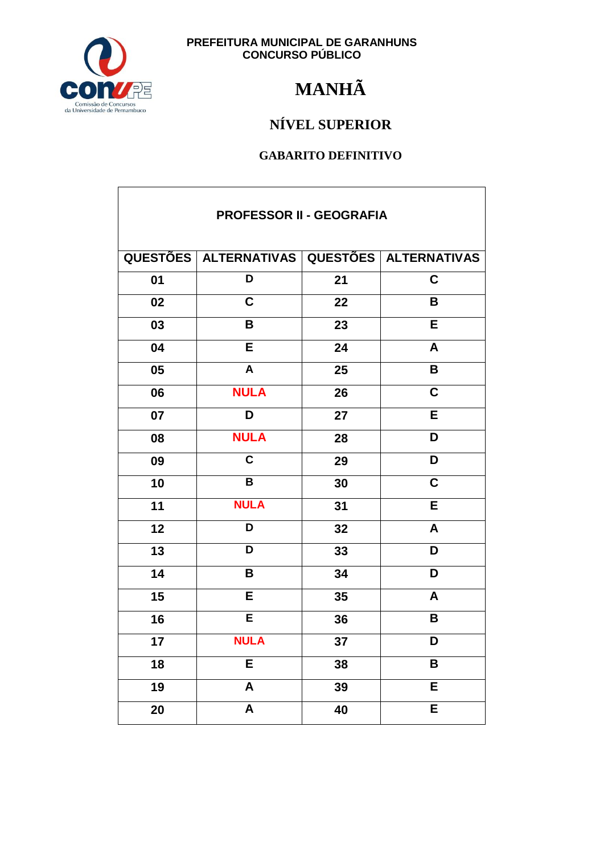

## **MANHÃ**

### NÍVEL SUPERIOR

| <b>PROFESSOR II - GEOGRAFIA</b> |                                                   |    |                         |  |
|---------------------------------|---------------------------------------------------|----|-------------------------|--|
|                                 | QUESTÕES   ALTERNATIVAS   QUESTÕES   ALTERNATIVAS |    |                         |  |
| 01                              | D                                                 | 21 | C                       |  |
| 02                              | $\mathbf C$                                       | 22 | B                       |  |
| 03                              | B                                                 | 23 | E                       |  |
| 04                              | E                                                 | 24 | A                       |  |
| 05                              | $\boldsymbol{A}$                                  | 25 | $\mathbf B$             |  |
| 06                              | <b>NULA</b>                                       | 26 | C                       |  |
| 07                              | D                                                 | 27 | E                       |  |
| 08                              | <b>NULA</b>                                       | 28 | D                       |  |
| 09                              | $\mathbf C$                                       | 29 | D                       |  |
| 10                              | $\overline{\mathbf{B}}$                           | 30 | $\overline{\mathsf{c}}$ |  |
| 11                              | <b>NULA</b>                                       | 31 | E                       |  |
| 12                              | D                                                 | 32 | A                       |  |
| 13                              | D                                                 | 33 | D                       |  |
| 14                              | B                                                 | 34 | D                       |  |
| 15                              | E                                                 | 35 | A                       |  |
| 16                              | E                                                 | 36 | В                       |  |
| 17                              | <b>NULA</b>                                       | 37 | D                       |  |
| 18                              | E                                                 | 38 | B                       |  |
| 19                              | $\boldsymbol{\mathsf{A}}$                         | 39 | E                       |  |
| 20                              | A                                                 | 40 | E                       |  |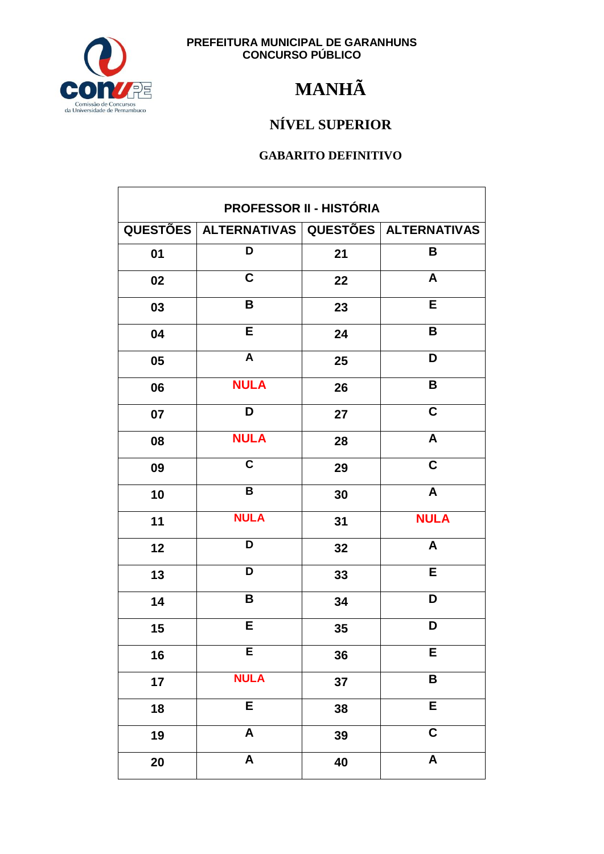

## **MANHÃ**

### NÍVEL SUPERIOR

| PROFESSOR II - HISTÓRIA |                                             |    |                           |  |
|-------------------------|---------------------------------------------|----|---------------------------|--|
|                         | QUESTÕES ALTERNATIVAS QUESTÕES ALTERNATIVAS |    |                           |  |
| 01                      | D                                           | 21 | B                         |  |
| 02                      | $\mathbf C$                                 | 22 | A                         |  |
| 03                      | B                                           | 23 | E                         |  |
| 04                      | E                                           | 24 | B                         |  |
| 05                      | $\mathsf{A}$                                | 25 | D                         |  |
| 06                      | <b>NULA</b>                                 | 26 | $\mathbf B$               |  |
| 07                      | D                                           | 27 | $\overline{\mathsf{C}}$   |  |
| 08                      | <b>NULA</b>                                 | 28 | A                         |  |
| 09                      | $\mathbf C$                                 | 29 | $\mathbf C$               |  |
| 10                      | $\overline{\mathsf{B}}$                     | 30 | $\overline{\mathsf{A}}$   |  |
| 11                      | <b>NULA</b>                                 | 31 | <b>NULA</b>               |  |
| 12                      | D                                           | 32 | A                         |  |
| 13                      | D                                           | 33 | E                         |  |
| 14                      | B                                           | 34 | D                         |  |
| 15                      | E                                           | 35 | D                         |  |
| 16                      | E                                           | 36 | Е                         |  |
| 17                      | <b>NULA</b>                                 | 37 | $\pmb{\mathsf{B}}$        |  |
| 18                      | E                                           | 38 | $\overline{E}$            |  |
| 19                      | $\boldsymbol{\mathsf{A}}$                   | 39 | $\mathbf C$               |  |
| 20                      | $\overline{\mathsf{A}}$                     | 40 | $\boldsymbol{\mathsf{A}}$ |  |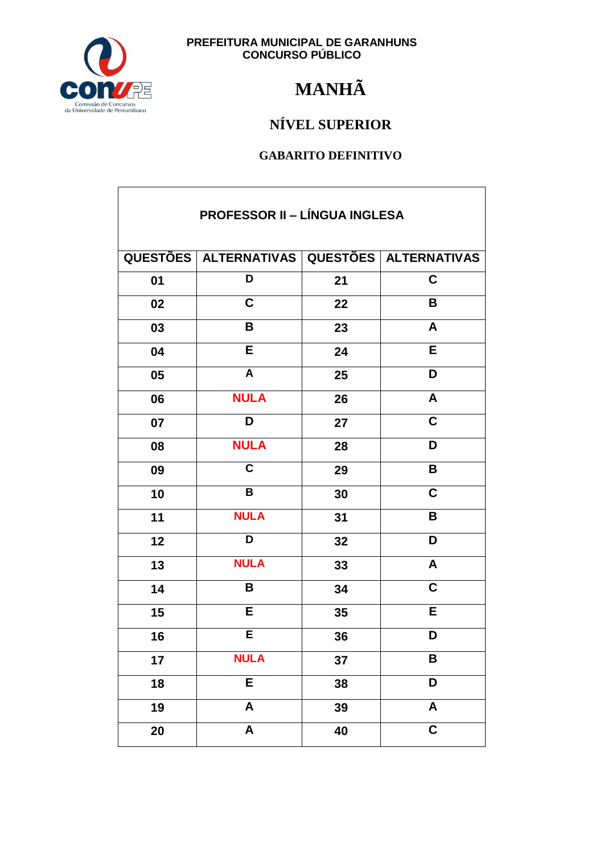

## **MANHÃ**

### NÍVEL SUPERIOR

| <b>PROFESSOR II - LÍNGUA INGLESA</b> |                                                   |    |                           |  |
|--------------------------------------|---------------------------------------------------|----|---------------------------|--|
|                                      | QUESTÕES   ALTERNATIVAS   QUESTÕES   ALTERNATIVAS |    |                           |  |
| 01                                   | D                                                 | 21 | $\overline{\mathbf{C}}$   |  |
| 02                                   | $\mathbf C$                                       | 22 | B                         |  |
| 03                                   | B                                                 | 23 | A                         |  |
| 04                                   | E                                                 | 24 | E                         |  |
| 05                                   | A                                                 | 25 | D                         |  |
| 06                                   | <b>NULA</b>                                       | 26 | A                         |  |
| 07                                   | D                                                 | 27 | $\mathbf C$               |  |
| 08                                   | <b>NULA</b>                                       | 28 | D                         |  |
| 09                                   | $\overline{\mathsf{c}}$                           | 29 | B                         |  |
| 10                                   | B                                                 | 30 | $\overline{\mathsf{c}}$   |  |
| 11                                   | <b>NULA</b>                                       | 31 | B                         |  |
| 12                                   | D                                                 | 32 | D                         |  |
| 13                                   | <b>NULA</b>                                       | 33 | A                         |  |
| 14                                   | B                                                 | 34 | $\mathbf C$               |  |
| 15                                   | E                                                 | 35 | E                         |  |
| 16                                   | $\overline{\mathsf{E}}$                           | 36 | D                         |  |
| 17                                   | <b>NULA</b>                                       | 37 | B                         |  |
| 18                                   | E                                                 | 38 | D                         |  |
| 19                                   | $\pmb{\mathsf{A}}$                                | 39 | $\boldsymbol{\mathsf{A}}$ |  |
| 20                                   | A                                                 | 40 | $\overline{\mathbf{C}}$   |  |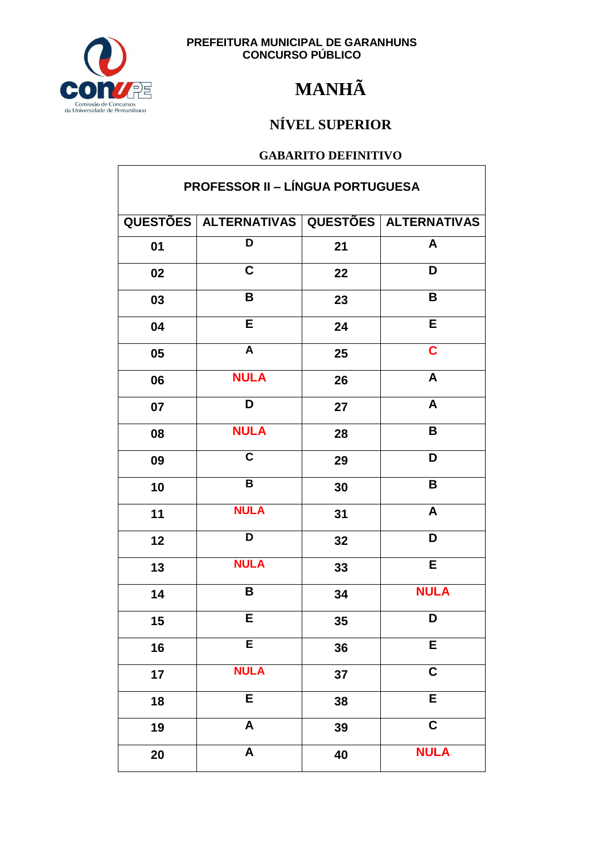

## **MANHÃ**

### NÍVEL SUPERIOR

#### **GABARITO DEFINITIVO**

| <b>PROFESSOR II - LÍNGUA PORTUGUESA</b> |                                             |    |                         |
|-----------------------------------------|---------------------------------------------|----|-------------------------|
|                                         | QUESTÕES ALTERNATIVAS QUESTÕES ALTERNATIVAS |    |                         |
| 01                                      | D                                           | 21 | A                       |
| 02                                      | $\mathbf C$                                 | 22 | D                       |
| 03                                      | B                                           | 23 | B                       |
| 04                                      | $\overline{\mathsf{E}}$                     | 24 | $\overline{E}$          |
| 05                                      | $\overline{A}$                              | 25 | $\overline{\mathbf{C}}$ |
| 06                                      | <b>NULA</b>                                 | 26 | A                       |
| 07                                      | D                                           | 27 | A                       |
| 08                                      | <b>NULA</b>                                 | 28 | B                       |
| 09                                      | $\overline{\mathsf{c}}$                     | 29 | $\overline{\mathsf{D}}$ |
| 10                                      | B                                           | 30 | $\mathbf B$             |
| 11                                      | <b>NULA</b>                                 | 31 | A                       |
| 12                                      | D                                           | 32 | D                       |
| 13                                      | <b>NULA</b>                                 | 33 | E                       |
| 14                                      | B                                           | 34 | <b>NULA</b>             |
| 15                                      | E.                                          | 35 | D                       |
| 16                                      | E                                           | 36 | $\overline{E}$          |
| 17                                      | <b>NULA</b>                                 | 37 | $\mathbf C$             |
| 18                                      | E                                           | 38 | E                       |
| 19                                      | $\boldsymbol{\mathsf{A}}$                   | 39 | $\mathbf C$             |
| 20                                      | $\overline{\mathbf{A}}$                     | 40 | <b>NULA</b>             |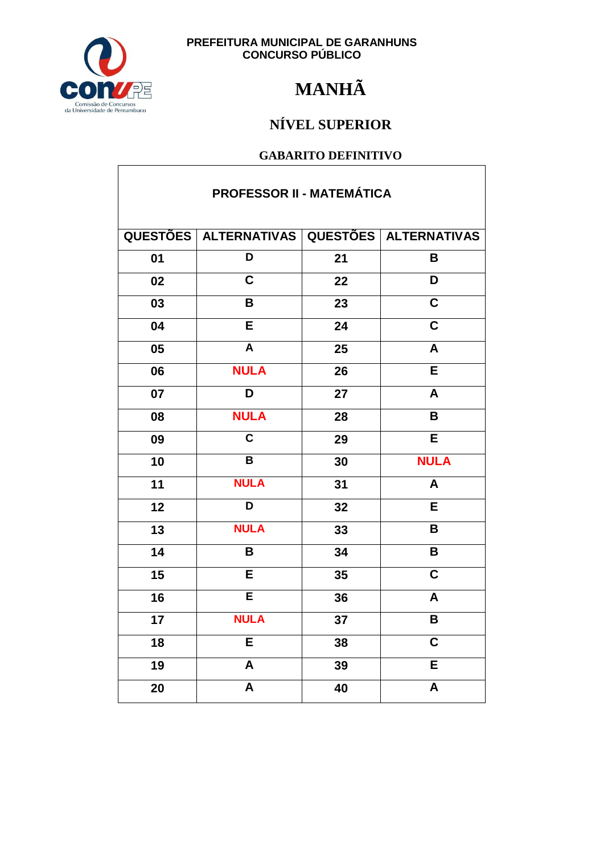

 $\overline{\phantom{a}}$ 

**PREFEITURA MUNICIPAL DE GARANHUNS<br>CONCURSO PÚBLICO** 

## **MANHÃ**

### NÍVEL SUPERIOR

| <b>PROFESSOR II - MATEMÁTICA</b> |                                             |    |                         |  |
|----------------------------------|---------------------------------------------|----|-------------------------|--|
|                                  | QUESTÕES ALTERNATIVAS QUESTÕES ALTERNATIVAS |    |                         |  |
| 01                               | D                                           | 21 | B                       |  |
| 02                               | $\overline{\mathsf{c}}$                     | 22 | D                       |  |
| 03                               | B                                           | 23 | $\overline{\mathsf{c}}$ |  |
| 04                               | E                                           | 24 | C                       |  |
| 05                               | $\overline{\mathsf{A}}$                     | 25 | A                       |  |
| 06                               | <b>NULA</b>                                 | 26 | Ē                       |  |
| 07                               | $\overline{\mathsf{D}}$                     | 27 | A                       |  |
| 08                               | <b>NULA</b>                                 | 28 | B                       |  |
| 09                               | $\overline{\mathsf{c}}$                     | 29 | E                       |  |
| 10                               | B                                           | 30 | <b>NULA</b>             |  |
| $\overline{11}$                  | <b>NULA</b>                                 | 31 | $\overline{\mathsf{A}}$ |  |
| 12                               | $\overline{\mathsf{D}}$                     | 32 | E                       |  |
| 13                               | <b>NULA</b>                                 | 33 | B                       |  |
| 14                               | B                                           | 34 | B                       |  |
| 15                               | E                                           | 35 | $\overline{\mathsf{c}}$ |  |
| 16                               | $\overline{\mathsf{E}}$                     | 36 | A                       |  |
| 17                               | <b>NULA</b>                                 | 37 | B                       |  |
| 18                               | Ē                                           | 38 | $\overline{\mathsf{c}}$ |  |
| 19                               | A                                           | 39 | $\overline{\mathsf{E}}$ |  |
| 20                               | A                                           | 40 | A                       |  |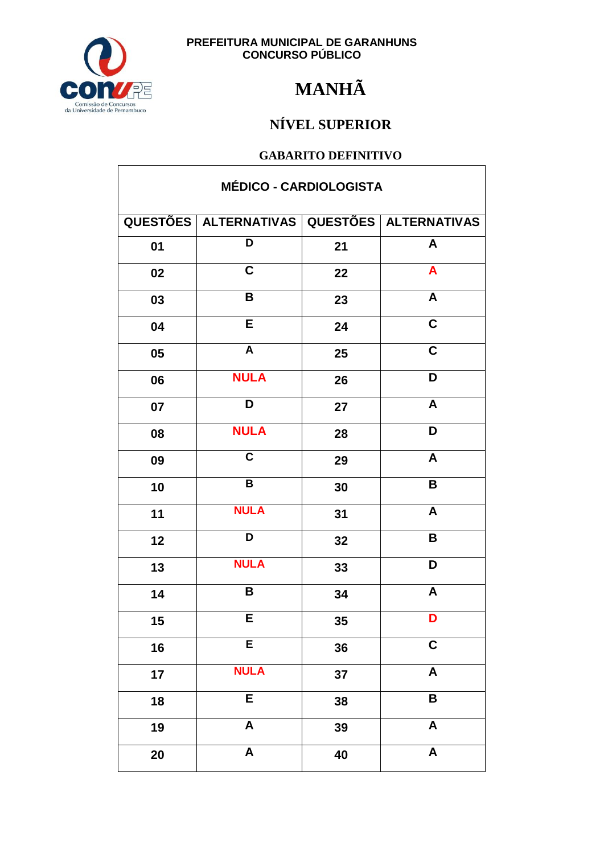

 $\overline{1}$ 

**PREFEITURA MUNICIPAL DE GARANHUNS<br>CONCURSO PÚBLICO** 

## **MANHÃ**

### NÍVEL SUPERIOR

| <b>MÉDICO - CARDIOLOGISTA</b> |                                             |    |                           |  |
|-------------------------------|---------------------------------------------|----|---------------------------|--|
|                               | QUESTÕES ALTERNATIVAS QUESTÕES ALTERNATIVAS |    |                           |  |
| 01                            | D                                           | 21 | A                         |  |
| 02                            | $\mathbf C$                                 | 22 | A                         |  |
| 03                            | B                                           | 23 | $\boldsymbol{\mathsf{A}}$ |  |
| 04                            | E                                           | 24 | $\overline{\mathsf{c}}$   |  |
| 05                            | A                                           | 25 | $\mathbf C$               |  |
| 06                            | <b>NULA</b>                                 | 26 | D                         |  |
| 07                            | D                                           | 27 | A                         |  |
| 08                            | <b>NULA</b>                                 | 28 | D                         |  |
| 09                            | $\overline{\mathsf{c}}$                     | 29 | $\boldsymbol{A}$          |  |
| 10                            | $\pmb{\mathsf{B}}$                          | 30 | B                         |  |
| 11                            | <b>NULA</b>                                 | 31 | $\boldsymbol{A}$          |  |
| 12                            | D                                           | 32 | B                         |  |
| 13                            | <b>NULA</b>                                 | 33 | D                         |  |
| 14                            | B                                           | 34 | $\boldsymbol{A}$          |  |
| 15                            | E                                           | 35 | D                         |  |
| 16                            | E                                           | 36 | $\mathbf C$               |  |
| 17                            | <b>NULA</b>                                 | 37 | $\overline{\mathbf{A}}$   |  |
| 18                            | E                                           | 38 | B                         |  |
| 19                            | $\boldsymbol{\mathsf{A}}$                   | 39 | $\boldsymbol{\mathsf{A}}$ |  |
| 20                            | $\boldsymbol{\mathsf{A}}$                   | 40 | $\pmb{\mathsf{A}}$        |  |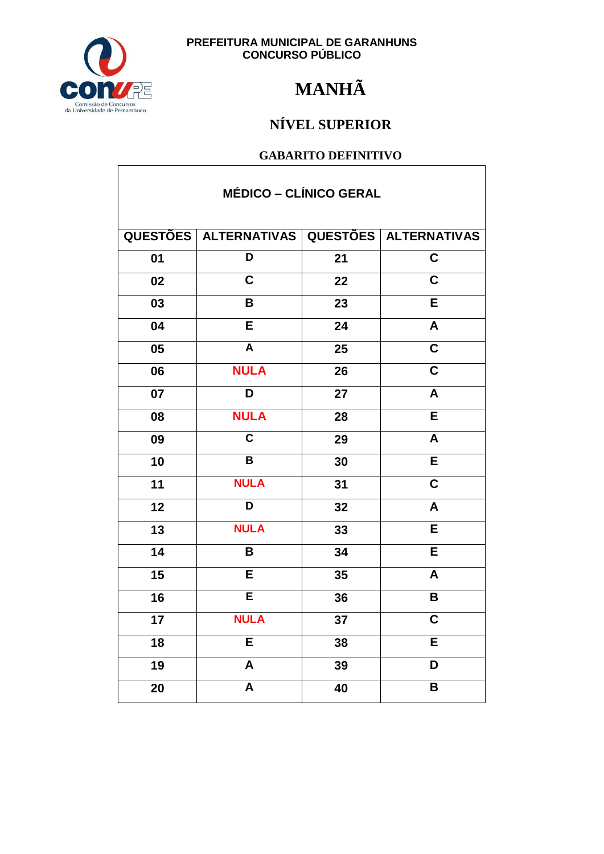

## **MANHÃ**

### NÍVEL SUPERIOR

| <b>MÉDICO – CLÍNICO GERAL</b> |                                             |    |                         |  |
|-------------------------------|---------------------------------------------|----|-------------------------|--|
|                               | QUESTÕES ALTERNATIVAS QUESTÕES ALTERNATIVAS |    |                         |  |
| 01                            | $\overline{\mathsf{D}}$                     | 21 | $\mathbf C$             |  |
| 02                            | $\mathbf C$                                 | 22 | $\mathbf C$             |  |
| 03                            | B                                           | 23 | E                       |  |
| 04                            | E                                           | 24 | $\overline{\mathsf{A}}$ |  |
| 05                            | $\overline{A}$                              | 25 | $\overline{\mathbf{C}}$ |  |
| 06                            | <b>NULA</b>                                 | 26 | $\overline{\mathsf{C}}$ |  |
| 07                            | D                                           | 27 | $\boldsymbol{A}$        |  |
| 08                            | <b>NULA</b>                                 | 28 | E                       |  |
| 09                            | $\overline{\mathsf{c}}$                     | 29 | $\mathsf{A}$            |  |
| 10                            | $\mathbf B$                                 | 30 | E                       |  |
| 11                            | <b>NULA</b>                                 | 31 | $\overline{\mathsf{c}}$ |  |
| 12                            | $\overline{\mathsf{D}}$                     | 32 | $\overline{\mathsf{A}}$ |  |
| 13                            | <b>NULA</b>                                 | 33 | $\overline{\mathsf{E}}$ |  |
| 14                            | B                                           | 34 | E                       |  |
| 15                            | E                                           | 35 | A                       |  |
| 16                            | E                                           | 36 | B                       |  |
| 17                            | <b>NULA</b>                                 | 37 | C.                      |  |
| 18                            | E                                           | 38 | Е                       |  |
| 19                            | A                                           | 39 | D                       |  |
| 20                            | $\overline{\mathsf{A}}$                     | 40 | B                       |  |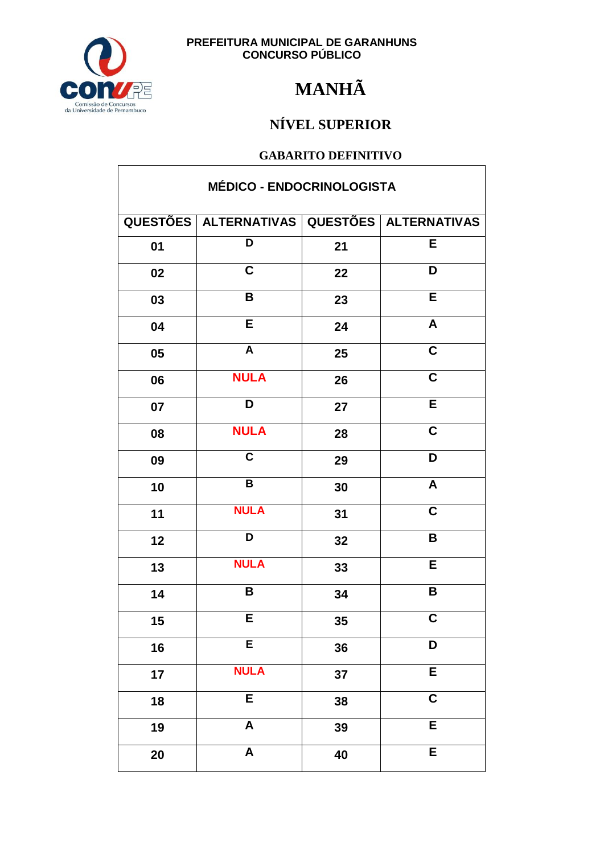

## **MANHÃ**

### NÍVEL SUPERIOR

#### **GABARITO DEFINITIVO**

| <b>MÉDICO - ENDOCRINOLOGISTA</b> |                                             |    |                         |
|----------------------------------|---------------------------------------------|----|-------------------------|
|                                  | QUESTÕES ALTERNATIVAS QUESTÕES ALTERNATIVAS |    |                         |
| 01                               | D                                           | 21 | E                       |
| 02                               | $\mathbf C$                                 | 22 | D                       |
| 03                               | B                                           | 23 | E                       |
| 04                               | E                                           | 24 | $\mathsf{A}$            |
| 05                               | $\overline{A}$                              | 25 | $\overline{\mathbf{c}}$ |
| 06                               | <b>NULA</b>                                 | 26 | $\overline{\mathbf{C}}$ |
| 07                               | D                                           | 27 | E                       |
| 08                               | <b>NULA</b>                                 | 28 | $\overline{\mathsf{c}}$ |
| 09                               | $\overline{\mathsf{c}}$                     | 29 | $\overline{\mathsf{D}}$ |
| 10                               | $\, {\bf B}$                                | 30 | $\pmb{\mathsf{A}}$      |
| 11                               | <b>NULA</b>                                 | 31 | $\mathbf C$             |
| 12                               | D                                           | 32 | B                       |
| 13                               | <b>NULA</b>                                 | 33 | E                       |
| 14                               | B                                           | 34 | $\mathsf B$             |
| 15                               | E                                           | 35 | $\mathbf C$             |
| 16                               | E                                           | 36 | D                       |
| 17                               | <b>NULA</b>                                 | 37 | E                       |
| 18                               | E                                           | 38 | $\mathbf C$             |
| 19                               | $\boldsymbol{\mathsf{A}}$                   | 39 | E                       |
| 20                               | $\boldsymbol{\mathsf{A}}$                   | 40 | E                       |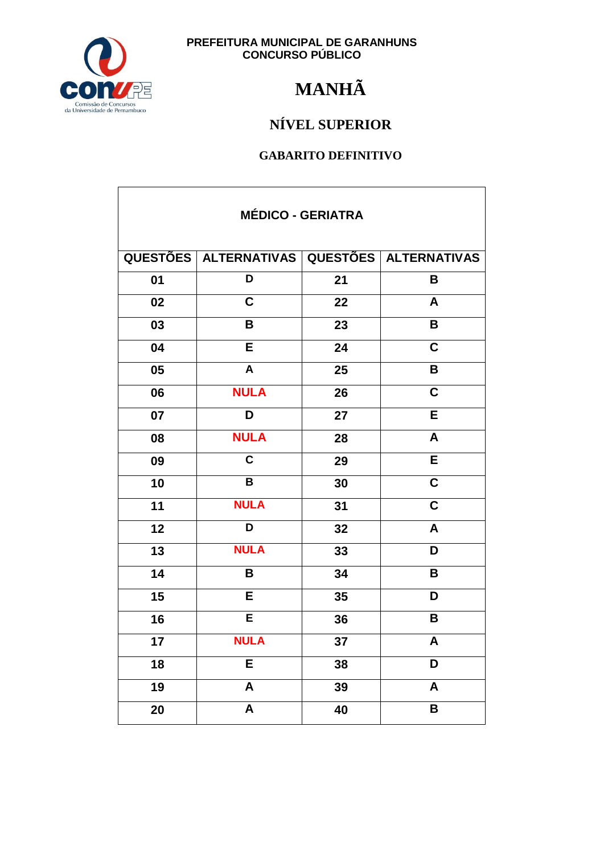

## **MANHÃ**

### NÍVEL SUPERIOR

| <b>MÉDICO - GERIATRA</b> |                                             |    |                         |
|--------------------------|---------------------------------------------|----|-------------------------|
|                          | QUESTÕES ALTERNATIVAS QUESTÕES ALTERNATIVAS |    |                         |
| 01                       | D                                           | 21 | B                       |
| 02                       | $\overline{\mathsf{C}}$                     | 22 | A                       |
| 03                       | B                                           | 23 | B                       |
| 04                       | E                                           | 24 | $\overline{\mathsf{C}}$ |
| 05                       | $\boldsymbol{\mathsf{A}}$                   | 25 | B                       |
| 06                       | <b>NULA</b>                                 | 26 | $\overline{\mathsf{C}}$ |
| 07                       | D                                           | 27 | E                       |
| 08                       | <b>NULA</b>                                 | 28 | $\boldsymbol{A}$        |
| 09                       | $\overline{\mathbf{c}}$                     | 29 | E                       |
| 10                       | $\overline{\mathbf{B}}$                     | 30 | $\overline{\mathbf{C}}$ |
| 11                       | <b>NULA</b>                                 | 31 | $\overline{\mathbf{C}}$ |
| 12                       | D                                           | 32 | $\mathsf{A}$            |
| 13                       | <b>NULA</b>                                 | 33 | D                       |
| 14                       | B                                           | 34 | B                       |
| 15                       | E                                           | 35 | D                       |
| 16                       | E                                           | 36 | B                       |
| 17                       | <b>NULA</b>                                 | 37 | A                       |
| 18                       | E                                           | 38 | D                       |
| 19                       | $\boldsymbol{\mathsf{A}}$                   | 39 | $\boldsymbol{A}$        |
| 20                       | $\overline{\mathsf{A}}$                     | 40 | B                       |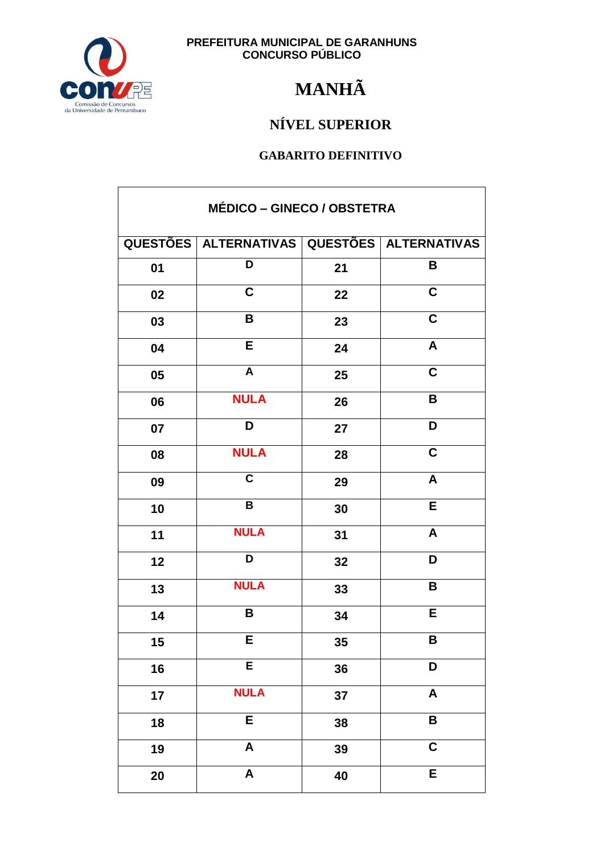

## **MANHÃ**

### NÍVEL SUPERIOR

| <b>MÉDICO - GINECO / OBSTETRA</b> |                                                   |    |                           |
|-----------------------------------|---------------------------------------------------|----|---------------------------|
|                                   | QUESTÕES   ALTERNATIVAS   QUESTÕES   ALTERNATIVAS |    |                           |
| 01                                | D                                                 | 21 | B                         |
| 02                                | C                                                 | 22 | $\mathbf C$               |
| 03                                | B                                                 | 23 | $\mathbf C$               |
| 04                                | $\overline{E}$                                    | 24 | $\overline{A}$            |
| 05                                | $\overline{A}$                                    | 25 | $\overline{\mathbf{C}}$   |
| 06                                | <b>NULA</b>                                       | 26 | B                         |
| 07                                | D                                                 | 27 | D                         |
| 08                                | <b>NULA</b>                                       | 28 | $\mathbf C$               |
| 09                                | $\overline{\mathsf{c}}$                           | 29 | $\boldsymbol{A}$          |
| 10                                | $\overline{B}$                                    | 30 | $\overline{E}$            |
| 11                                | <b>NULA</b>                                       | 31 | A                         |
| 12                                | D                                                 | 32 | D                         |
| 13                                | <b>NULA</b>                                       | 33 | B                         |
| 14                                | B                                                 | 34 | E                         |
| $15\,$                            | Е                                                 | 35 | B                         |
| 16                                | E                                                 | 36 | D                         |
| 17                                | <b>NULA</b>                                       | 37 | $\boldsymbol{\mathsf{A}}$ |
| 18                                | E                                                 | 38 | $\overline{\mathbf{B}}$   |
| 19                                | $\boldsymbol{\mathsf{A}}$                         | 39 | $\overline{\mathbf{C}}$   |
| 20                                | $\boldsymbol{\mathsf{A}}$                         | 40 | E                         |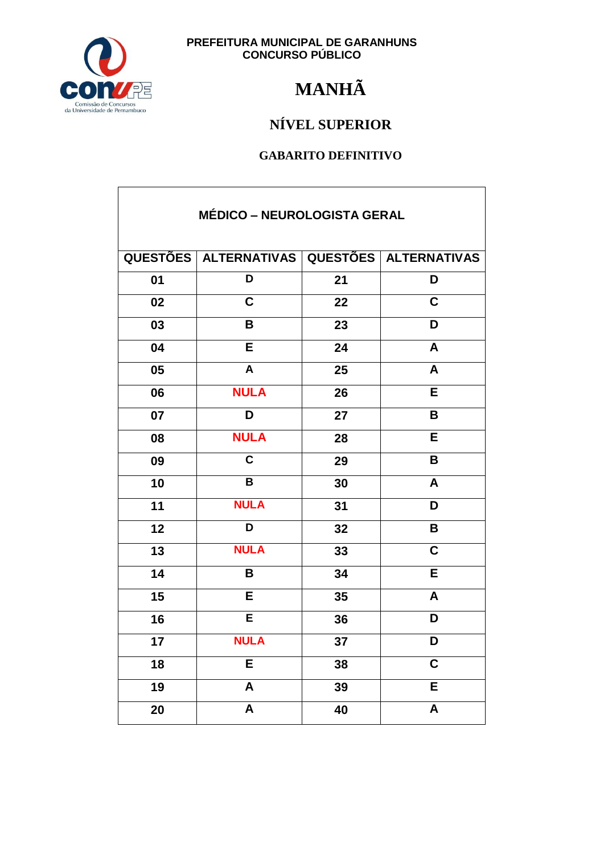

## **MANHÃ**

### NÍVEL SUPERIOR

| <b>MÉDICO - NEUROLOGISTA GERAL</b> |                                                   |    |                         |
|------------------------------------|---------------------------------------------------|----|-------------------------|
|                                    | QUESTÕES   ALTERNATIVAS   QUESTÕES   ALTERNATIVAS |    |                         |
| 01                                 | D                                                 | 21 | D                       |
| 02                                 | $\overline{\mathsf{C}}$                           | 22 | $\overline{\mathbf{C}}$ |
| 03                                 | B                                                 | 23 | D                       |
| 04                                 | E                                                 | 24 | A                       |
| 05                                 | $\mathbf{A}$                                      | 25 | A                       |
| 06                                 | <b>NULA</b>                                       | 26 | Е                       |
| 07                                 | D                                                 | 27 | B                       |
| 08                                 | <b>NULA</b>                                       | 28 | E                       |
| 09                                 | $\overline{\mathsf{c}}$                           | 29 | B                       |
| 10                                 | $\overline{\mathbf{B}}$                           | 30 | A                       |
| 11                                 | <b>NULA</b>                                       | 31 | D                       |
| 12                                 | D                                                 | 32 | B                       |
| 13                                 | <b>NULA</b>                                       | 33 | $\mathbf C$             |
| 14                                 | B                                                 | 34 | E                       |
| 15                                 | E                                                 | 35 | A                       |
| 16                                 | E                                                 | 36 | D                       |
| 17                                 | <b>NULA</b>                                       | 37 | D                       |
| 18                                 | E                                                 | 38 | $\overline{\mathbf{C}}$ |
| 19                                 | $\overline{\mathsf{A}}$                           | 39 | E                       |
| 20                                 | $\boldsymbol{\mathsf{A}}$                         | 40 | $\pmb{\mathsf{A}}$      |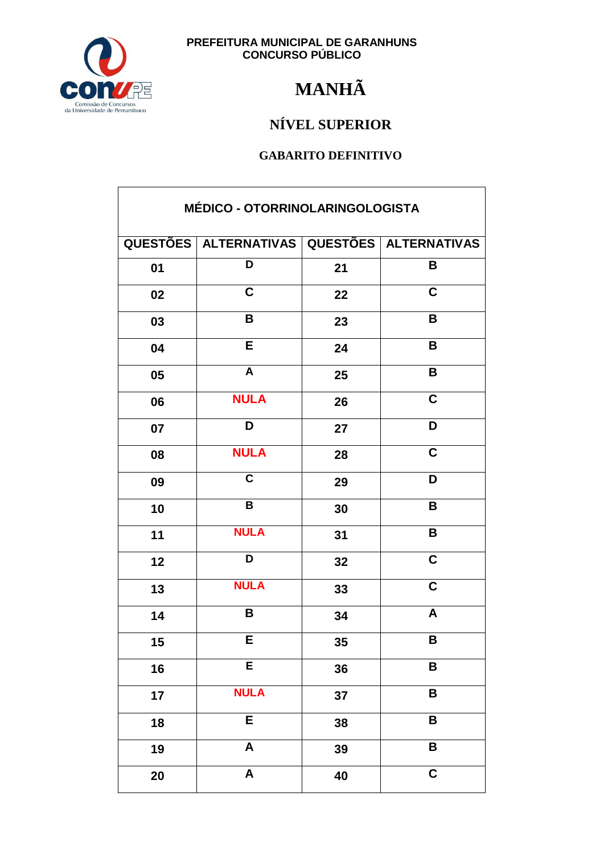

## **MANHÃ**

### NÍVEL SUPERIOR

| MÉDICO - OTORRINOLARINGOLOGISTA |                           |    |                         |
|---------------------------------|---------------------------|----|-------------------------|
|                                 | QUESTÕES   ALTERNATIVAS   |    | QUESTÕES   ALTERNATIVAS |
| 01                              | D                         | 21 | B                       |
| 02                              | C                         | 22 | C                       |
| 03                              | B                         | 23 | $\mathbf B$             |
| 04                              | $\overline{E}$            | 24 | B                       |
| 05                              | $\overline{A}$            | 25 | $\mathbf B$             |
| 06                              | <b>NULA</b>               | 26 | $\overline{\mathbf{C}}$ |
| 07                              | D                         | 27 | D                       |
| 08                              | <b>NULA</b>               | 28 | $\mathbf C$             |
| 09                              | $\overline{\mathsf{c}}$   | 29 | D                       |
| 10                              | $\overline{\mathbf{B}}$   | 30 | B                       |
| 11                              | <b>NULA</b>               | 31 | B                       |
| 12                              | D                         | 32 | $\mathbf C$             |
| 13                              | <b>NULA</b>               | 33 | $\overline{\mathsf{c}}$ |
| 14                              | B                         | 34 | A                       |
| $15\,$                          | Е                         | 35 | B                       |
| 16                              | E                         | 36 | B                       |
| 17                              | <b>NULA</b>               | 37 | B                       |
| 18                              | E                         | 38 | B                       |
| 19                              | $\boldsymbol{\mathsf{A}}$ | 39 | $\pmb{\mathsf{B}}$      |
| 20                              | $\boldsymbol{\mathsf{A}}$ | 40 | $\mathbf C$             |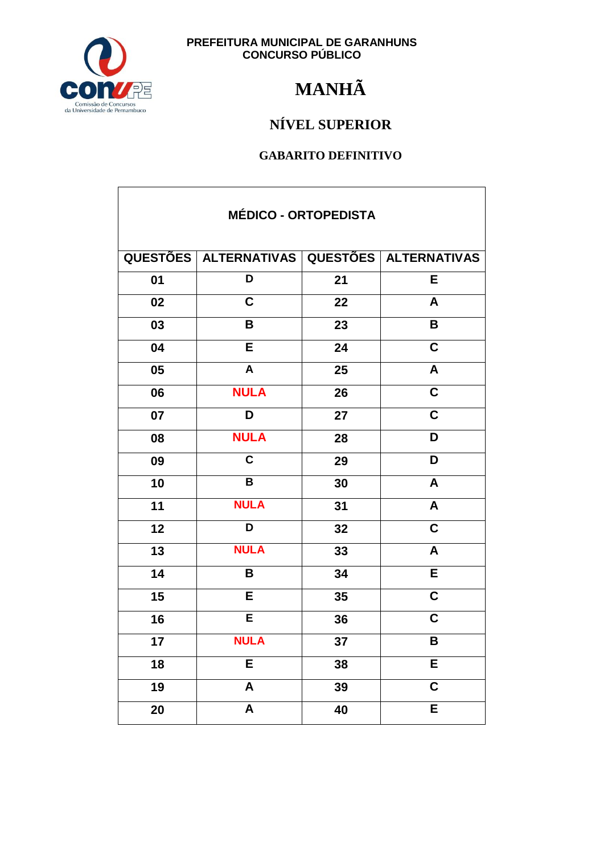

## **MANHÃ**

### NÍVEL SUPERIOR

| <b>MÉDICO - ORTOPEDISTA</b> |                                             |    |                           |  |
|-----------------------------|---------------------------------------------|----|---------------------------|--|
|                             | QUESTÕES ALTERNATIVAS QUESTÕES ALTERNATIVAS |    |                           |  |
| 01                          | D                                           | 21 | E                         |  |
| 02                          | $\overline{\mathsf{C}}$                     | 22 | $\mathsf{A}$              |  |
| 03                          | B                                           | 23 | B                         |  |
| 04                          | $\overline{\mathsf{E}}$                     | 24 | $\overline{\mathsf{c}}$   |  |
| 05                          | $\mathsf{A}$                                | 25 | $\boldsymbol{\mathsf{A}}$ |  |
| 06                          | <b>NULA</b>                                 | 26 | $\mathbf C$               |  |
| 07                          | D                                           | 27 | $\overline{\mathsf{C}}$   |  |
| 08                          | <b>NULA</b>                                 | 28 | D                         |  |
| 09                          | $\overline{\mathsf{c}}$                     | 29 | D                         |  |
| 10                          | $\mathbf B$                                 | 30 | A                         |  |
| 11                          | <b>NULA</b>                                 | 31 | $\boldsymbol{\mathsf{A}}$ |  |
| 12                          | $\overline{\mathsf{D}}$                     | 32 | $\overline{\mathbf{c}}$   |  |
| 13                          | <b>NULA</b>                                 | 33 | A                         |  |
| 14                          | B                                           | 34 | E                         |  |
| 15                          | E                                           | 35 | $\overline{\mathbf{C}}$   |  |
| 16                          | Ē                                           | 36 | $\overline{\mathbf{C}}$   |  |
| 17                          | <b>NULA</b>                                 | 37 | B                         |  |
| 18                          | E                                           | 38 | E                         |  |
| $\overline{1}9$             | $\overline{\mathsf{A}}$                     | 39 | $\overline{\mathsf{C}}$   |  |
| 20                          | $\overline{\mathsf{A}}$                     | 40 | E                         |  |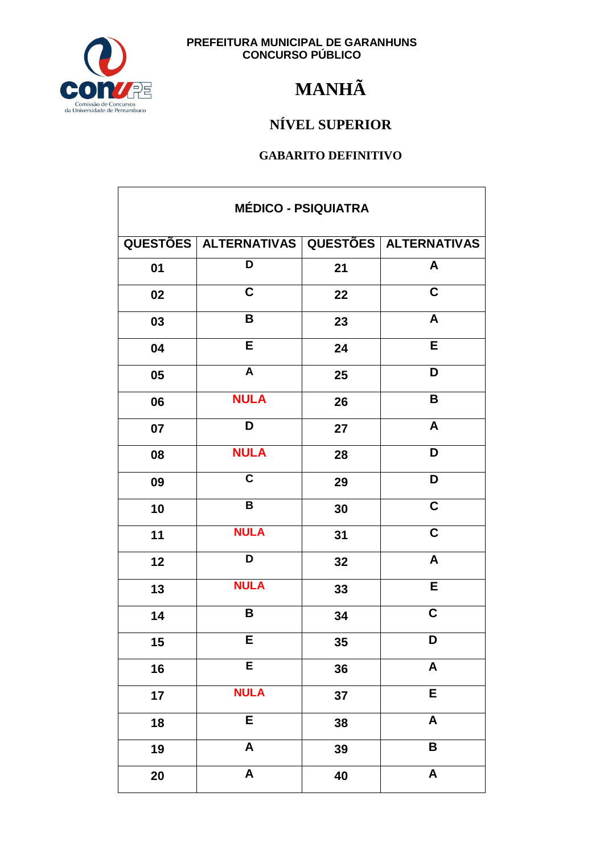

## **MANHÃ**

### NÍVEL SUPERIOR

| <b>MÉDICO - PSIQUIATRA</b> |                                             |    |                           |
|----------------------------|---------------------------------------------|----|---------------------------|
|                            | QUESTÕES ALTERNATIVAS QUESTÕES ALTERNATIVAS |    |                           |
| 01                         | $\overline{\mathsf{D}}$                     | 21 | $\mathsf{A}$              |
| 02                         | $\mathbf C$                                 | 22 | C                         |
| 03                         | B                                           | 23 | $\boldsymbol{A}$          |
| 04                         | $\overline{E}$                              | 24 | $\overline{\mathsf{E}}$   |
| 05                         | $\overline{\mathsf{A}}$                     | 25 | D                         |
| 06                         | <b>NULA</b>                                 | 26 | B                         |
| 07                         | D                                           | 27 | $\mathsf{A}$              |
| 08                         | <b>NULA</b>                                 | 28 | D                         |
| 09                         | $\overline{\mathsf{c}}$                     | 29 | D                         |
| 10                         | $\overline{\mathsf{B}}$                     | 30 | $\overline{\mathbf{c}}$   |
| 11                         | <b>NULA</b>                                 | 31 | $\overline{\mathbf{C}}$   |
| 12                         | D                                           | 32 | $\pmb{\mathsf{A}}$        |
| 13                         | <b>NULA</b>                                 | 33 | $\overline{E}$            |
| 14                         | B                                           | 34 | $\mathbf C$               |
| 15                         | E                                           | 35 | D                         |
| 16                         | E                                           | 36 | $\pmb{\mathsf{A}}$        |
| 17                         | <b>NULA</b>                                 | 37 | E                         |
| 18                         | E                                           | 38 | $\boldsymbol{\mathsf{A}}$ |
| 19                         | $\boldsymbol{\mathsf{A}}$                   | 39 | B                         |
| 20                         | $\boldsymbol{\mathsf{A}}$                   | 40 | $\pmb{\mathsf{A}}$        |